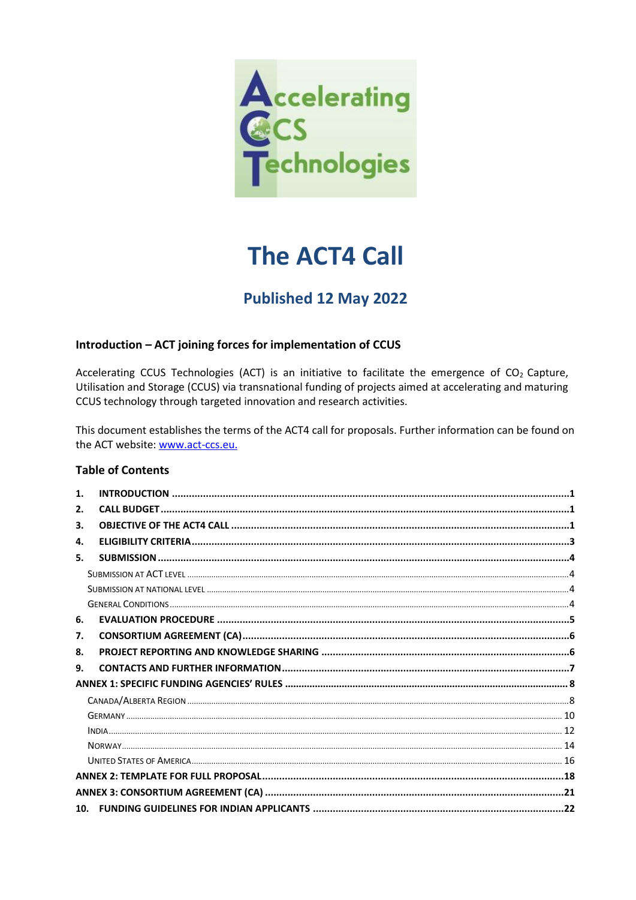

# **The ACT4 Call**

## Published 12 May 2022

#### Introduction - ACT joining forces for implementation of CCUS

Accelerating CCUS Technologies (ACT) is an initiative to facilitate the emergence of CO<sub>2</sub> Capture, Utilisation and Storage (CCUS) via transnational funding of projects aimed at accelerating and maturing CCUS technology through targeted innovation and research activities.

This document establishes the terms of the ACT4 call for proposals. Further information can be found on the ACT website: www.act-ccs.eu.

#### **Table of Contents**

| 1.  |  |
|-----|--|
| 2.  |  |
| 3.  |  |
| 4.  |  |
| 5.  |  |
|     |  |
|     |  |
|     |  |
| 6.  |  |
| 7.  |  |
| 8.  |  |
| 9.  |  |
|     |  |
|     |  |
|     |  |
|     |  |
|     |  |
|     |  |
|     |  |
|     |  |
| 10. |  |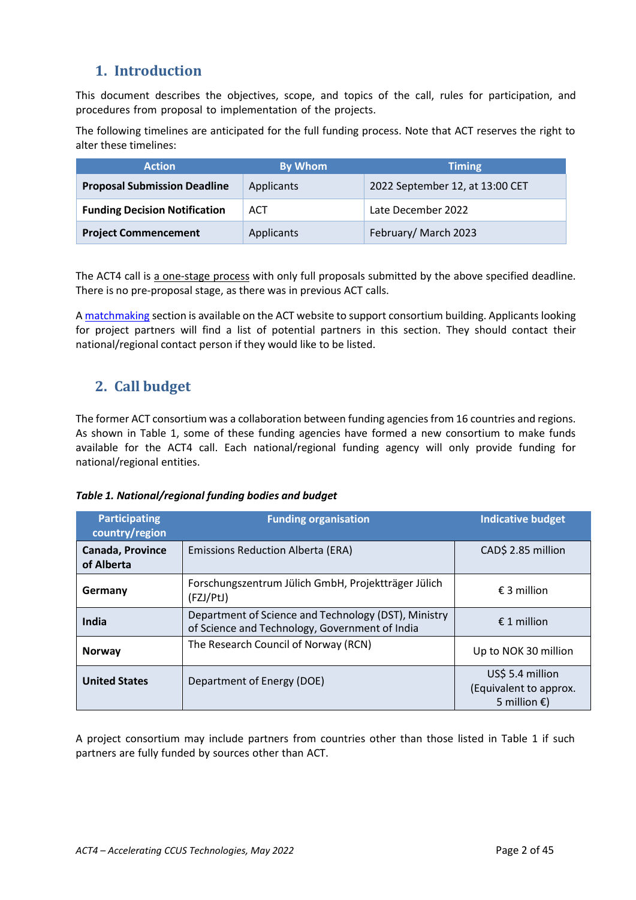## <span id="page-1-0"></span>**1. Introduction**

This document describes the objectives, scope, and topics of the call, rules for participation, and procedures from proposal to implementation of the projects.

The following timelines are anticipated for the full funding process. Note that ACT reserves the right to alter these timelines:

| <b>Action</b>                        | By Whom    | <b>Timing</b>                   |
|--------------------------------------|------------|---------------------------------|
| <b>Proposal Submission Deadline</b>  | Applicants | 2022 September 12, at 13:00 CET |
| <b>Funding Decision Notification</b> | <b>ACT</b> | Late December 2022              |
| <b>Project Commencement</b>          | Applicants | February/March 2023             |

The ACT4 call is a one-stage process with only full proposals submitted by the above specified deadline. There is no pre-proposal stage, as there was in previous ACT calls.

A [matchmaking](http://www.act-ccs.eu/matchmaking) section is available on the ACT website to support consortium building. Applicants looking for project partners will find a list of potential partners in this section. They should contact their national/regional contact person if they would like to be listed.

## <span id="page-1-1"></span>**2. Call budget**

The former ACT consortium was a collaboration between funding agencies from 16 countries and regions. As shown in Table 1, some of these funding agencies have formed a new consortium to make funds available for the ACT4 call. Each national/regional funding agency will only provide funding for national/regional entities.

#### *Table 1. National/regional funding bodies and budget*

| <b>Participating</b><br>country/region | <b>Funding organisation</b>                                                                            | <b>Indicative budget</b>                                             |
|----------------------------------------|--------------------------------------------------------------------------------------------------------|----------------------------------------------------------------------|
| <b>Canada, Province</b><br>of Alberta  | <b>Emissions Reduction Alberta (ERA)</b>                                                               | CAD\$ 2.85 million                                                   |
| Germany                                | Forschungszentrum Jülich GmbH, Projektträger Jülich<br>(FZJ/PtJ)                                       | $\epsilon$ 3 million                                                 |
| India                                  | Department of Science and Technology (DST), Ministry<br>of Science and Technology, Government of India | $£ 1$ million                                                        |
| <b>Norway</b>                          | The Research Council of Norway (RCN)                                                                   | Up to NOK 30 million                                                 |
| <b>United States</b>                   | Department of Energy (DOE)                                                                             | US\$ 5.4 million<br>(Equivalent to approx.<br>5 million $\epsilon$ ) |

A project consortium may include partners from countries other than those listed in Table 1 if such partners are fully funded by sources other than ACT.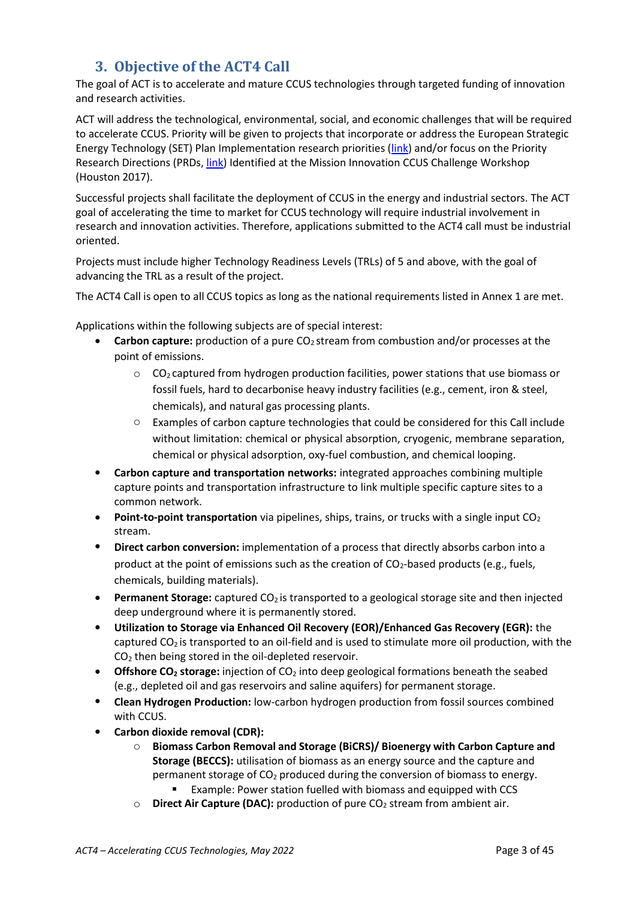## **3. Objective of the ACT4 Call**

<span id="page-2-0"></span>The goal of ACT is to accelerate and mature CCUS technologies through targeted funding of innovation and research activities.

ACT will address the technological, environmental, social, and economic challenges that will be required to accelerate CCUS. Priority will be given to projects that incorporate or address the European Strategic Energy Technology (SET) Plan Implementation research priorities [\(link\)](https://www.ccus-setplan.eu/wp-content/uploads/2021/11/CCUS-SET-Plan_CCUS-Roadmap-2030.pdf) and/or focus on the Priority Research Directions (PRDs, *link*) Identified at the Mission Innovation CCUS Challenge Workshop (Houston 2017).

Successful projects shall facilitate the deployment of CCUS in the energy and industrial sectors. The ACT goal of accelerating the time to market for CCUS technology will require industrial involvement in research and innovation activities. Therefore, applications submitted to the ACT4 call must be industrial oriented.

Projects must include higher Technology Readiness Levels (TRLs) of 5 and above, with the goal of advancing the TRL as a result of the project.

The ACT4 Call is open to all CCUS topics as long as the national requirements listed in Annex 1 are met.

Applications within the following subjects are of special interest:

- **Carbon capture:** production of a pure CO<sub>2</sub> stream from combustion and/or processes at the point of emissions.
	- $\circ$  CO<sub>2</sub> captured from hydrogen production facilities, power stations that use biomass or fossil fuels, hard to decarbonise heavy industry facilities (e.g., cement, iron & steel, chemicals), and natural gas processing plants.
	- $\circ$  Examples of carbon capture technologies that could be considered for this Call include without limitation: chemical or physical absorption, cryogenic, membrane separation, chemical or physical adsorption, oxy-fuel combustion, and chemical looping.
- **Carbon capture and transportation networks:** integrated approaches combining multiple capture points and transportation infrastructure to link multiple specific capture sites to a common network.
- **Point-to-point transportation** via pipelines, ships, trains, or trucks with a single input CO<sub>2</sub> stream.
- **Direct carbon conversion:** implementation of a process that directly absorbs carbon into a product at the point of emissions such as the creation of  $CO<sub>2</sub>$ -based products (e.g., fuels, chemicals, building materials).
- **Permanent Storage:** captured CO<sub>2</sub> is transported to a geological storage site and then injected deep underground where it is permanently stored.
- **Utilization to Storage via Enhanced Oil Recovery (EOR)/Enhanced Gas Recovery (EGR):** the captured  $CO<sub>2</sub>$  is transported to an oil-field and is used to stimulate more oil production, with the  $CO<sub>2</sub>$  then being stored in the oil-depleted reservoir.
- **Offshore CO<sup>2</sup> storage:** injection of CO<sup>2</sup> into deep geological formations beneath the seabed (e.g., depleted oil and gas reservoirs and saline aquifers) for permanent storage.
- **Clean Hydrogen Production:** low-carbon hydrogen production from fossil sources combined with CCUS.
- **Carbon dioxide removal (CDR):**
	- o **Biomass Carbon Removal and Storage (BiCRS)/ Bioenergy with Carbon Capture and Storage (BECCS):** utilisation of biomass as an energy source and the capture and permanent storage of  $CO<sub>2</sub>$  produced during the conversion of biomass to energy. Example: Power station fuelled with biomass and equipped with CCS
	- o **Direct Air Capture (DAC):** production of pure CO<sup>2</sup> stream from ambient air.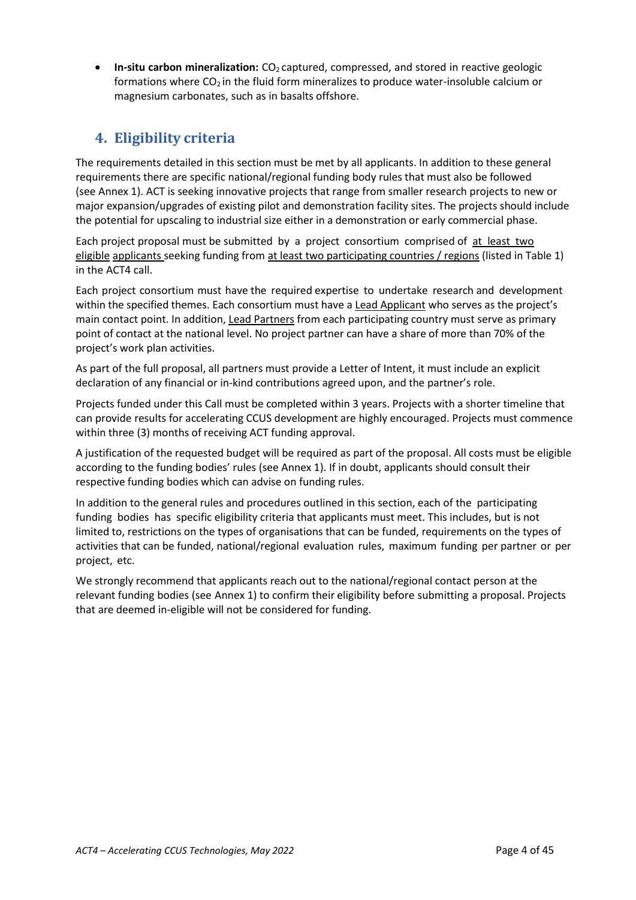• In-situ carbon mineralization: CO<sub>2</sub> captured, compressed, and stored in reactive geologic formations where  $CO<sub>2</sub>$  in the fluid form mineralizes to produce water-insoluble calcium or magnesium carbonates, such as in basalts offshore.

## **4. Eligibility criteria**

<span id="page-3-0"></span>The requirements detailed in this section must be met by all applicants. In addition to these general requirements there are specific national/regional funding body rules that must also be followed (see Annex 1). ACT is seeking innovative projects that range from smaller research projects to new or major expansion/upgrades of existing pilot and demonstration facility sites. The projects should include the potential for upscaling to industrial size either in a demonstration or early commercial phase.

Each project proposal must be submitted by a project consortium comprised of at least two eligible applicants seeking funding from at least two participating countries / regions (listed in Table 1) in the ACT4 call.

Each project consortium must have the required expertise to undertake research and development within the specified themes. Each consortium must have a Lead Applicant who serves as the project's main contact point. In addition, Lead Partners from each participating country must serve as primary point of contact at the national level. No project partner can have a share of more than 70% of the project's work plan activities.

As part of the full proposal, all partners must provide a Letter of Intent, it must include an explicit declaration of any financial or in-kind contributions agreed upon, and the partner's role.

Projects funded under this Call must be completed within 3 years. Projects with a shorter timeline that can provide results for accelerating CCUS development are highly encouraged. Projects must commence within three (3) months of receiving ACT funding approval.

A justification of the requested budget will be required as part of the proposal. All costs must be eligible according to the funding bodies' rules (see Annex 1). If in doubt, applicants should consult their respective funding bodies which can advise on funding rules.

In addition to the general rules and procedures outlined in this section, each of the participating funding bodies has specific eligibility criteria that applicants must meet. This includes, but is not limited to, restrictions on the types of organisations that can be funded, requirements on the types of activities that can be funded, national/regional evaluation rules, maximum funding per partner or per project, etc.

We strongly recommend that applicants reach out to the national/regional contact person at the relevant funding bodies (see Annex 1) to confirm their eligibility before submitting a proposal. Projects that are deemed in-eligible will not be considered for funding.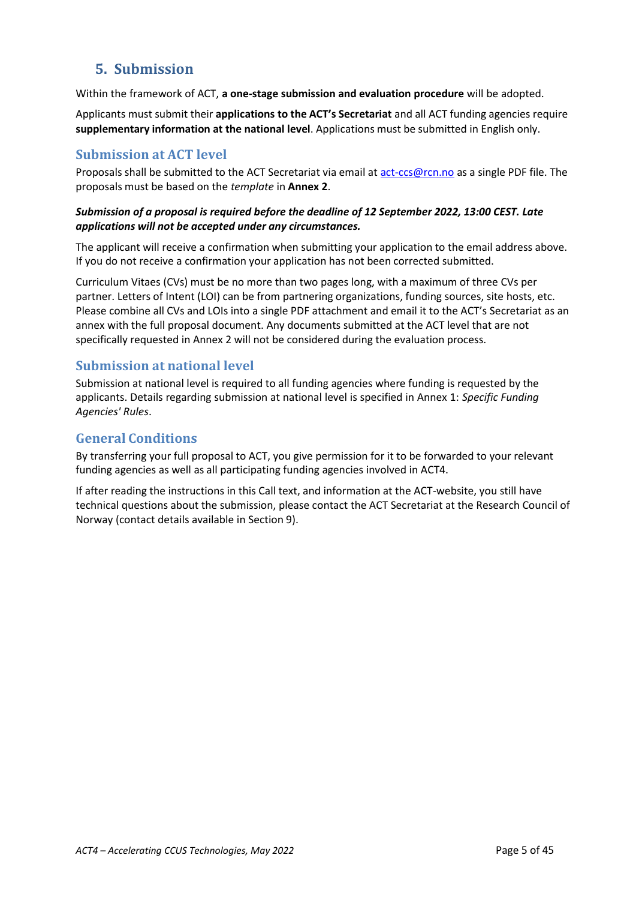## <span id="page-4-0"></span>**5. Submission**

Within the framework of ACT, **a one-stage submission and evaluation procedure** will be adopted.

Applicants must submit their **applications to the ACT's Secretariat** and all ACT funding agencies require **supplementary information at the national level**. Applications must be submitted in English only.

### <span id="page-4-1"></span>**Submission at ACT level**

Proposals shall be submitted to the ACT Secretariat via email at [act-ccs@rcn.no](mailto:act-ccs@rcn.no) as a single PDF file. The proposals must be based on the *template* in **Annex 2**.

#### *Submission of a proposal is required before the deadline of 12 September 2022, 13:00 CEST. Late applications will not be accepted under any circumstances.*

The applicant will receive a confirmation when submitting your application to the email address above. If you do not receive a confirmation your application has not been corrected submitted.

Curriculum Vitaes (CVs) must be no more than two pages long, with a maximum of three CVs per partner. Letters of Intent (LOI) can be from partnering organizations, funding sources, site hosts, etc. Please combine all CVs and LOIs into a single PDF attachment and email it to the ACT's Secretariat as an annex with the full proposal document. Any documents submitted at the ACT level that are not specifically requested in Annex 2 will not be considered during the evaluation process.

#### <span id="page-4-2"></span>**Submission at national level**

Submission at national level is required to all funding agencies where funding is requested by the applicants. Details regarding submission at national level is specified in Annex 1: *Specific Funding Agencies' Rules*.

### <span id="page-4-3"></span>**General Conditions**

By transferring your full proposal to ACT, you give permission for it to be forwarded to your relevant funding agencies as well as all participating funding agencies involved in ACT4.

If after reading the instructions in this Call text, and information at the ACT-website, you still have technical questions about the submission, please contact the ACT Secretariat at the Research Council of Norway (contact details available in Section 9).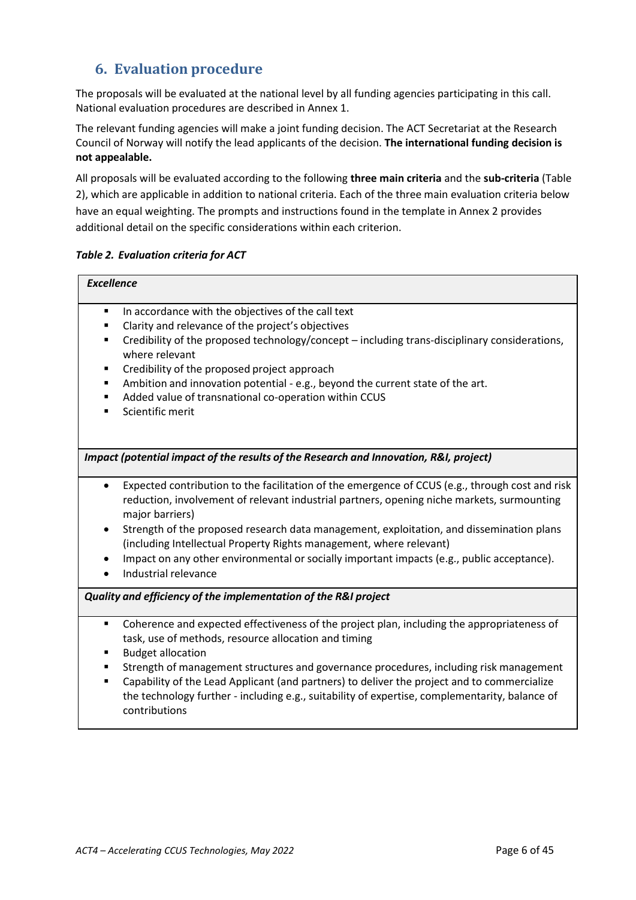## <span id="page-5-0"></span>**6. Evaluation procedure**

The proposals will be evaluated at the national level by all funding agencies participating in this call. National evaluation procedures are described in Annex 1.

The relevant funding agencies will make a joint funding decision. The ACT Secretariat at the Research Council of Norway will notify the lead applicants of the decision. **The international funding decision is not appealable.**

All proposals will be evaluated according to the following **three main criteria** and the **sub-criteria** (Table 2), which are applicable in addition to national criteria. Each of the three main evaluation criteria below have an equal weighting. The prompts and instructions found in the template in Annex 2 provides additional detail on the specific considerations within each criterion.

#### *Table 2. Evaluation criteria for ACT*

| <b>Excellence</b>                                                                                                                                                                                                                                                                                                                                                                                                                                                                                      |  |  |
|--------------------------------------------------------------------------------------------------------------------------------------------------------------------------------------------------------------------------------------------------------------------------------------------------------------------------------------------------------------------------------------------------------------------------------------------------------------------------------------------------------|--|--|
| In accordance with the objectives of the call text<br>٠<br>Clarity and relevance of the project's objectives<br>$\blacksquare$<br>Credibility of the proposed technology/concept - including trans-disciplinary considerations,<br>٠<br>where relevant<br>Credibility of the proposed project approach<br>٠<br>Ambition and innovation potential - e.g., beyond the current state of the art.<br>٠<br>Added value of transnational co-operation within CCUS<br>٠<br>Scientific merit<br>$\blacksquare$ |  |  |
| Impact (potential impact of the results of the Research and Innovation, R&I, project)                                                                                                                                                                                                                                                                                                                                                                                                                  |  |  |
| Expected contribution to the facilitation of the emergence of CCUS (e.g., through cost and risk<br>$\bullet$<br>reduction, involvement of relevant industrial partners, opening niche markets, surmounting<br>major barriers)<br>Strength of the proposed research data management, exploitation, and dissemination plans<br>$\bullet$<br>(including Intellectual Property Rights management, where relevant)                                                                                          |  |  |
| Impact on any other environmental or socially important impacts (e.g., public acceptance).<br>Industrial relevance                                                                                                                                                                                                                                                                                                                                                                                     |  |  |
| Quality and efficiency of the implementation of the R&I project                                                                                                                                                                                                                                                                                                                                                                                                                                        |  |  |
| Coherence and expected effectiveness of the project plan, including the appropriateness of<br>٠<br>task, use of methods, resource allocation and timing<br><b>Budget allocation</b><br>٠<br>Strength of management structures and governance procedures, including risk management<br>٠                                                                                                                                                                                                                |  |  |
| Capability of the Lead Applicant (and partners) to deliver the project and to commercialize<br>٠<br>the technology further - including e.g., suitability of expertise, complementarity, balance of<br>contributions                                                                                                                                                                                                                                                                                    |  |  |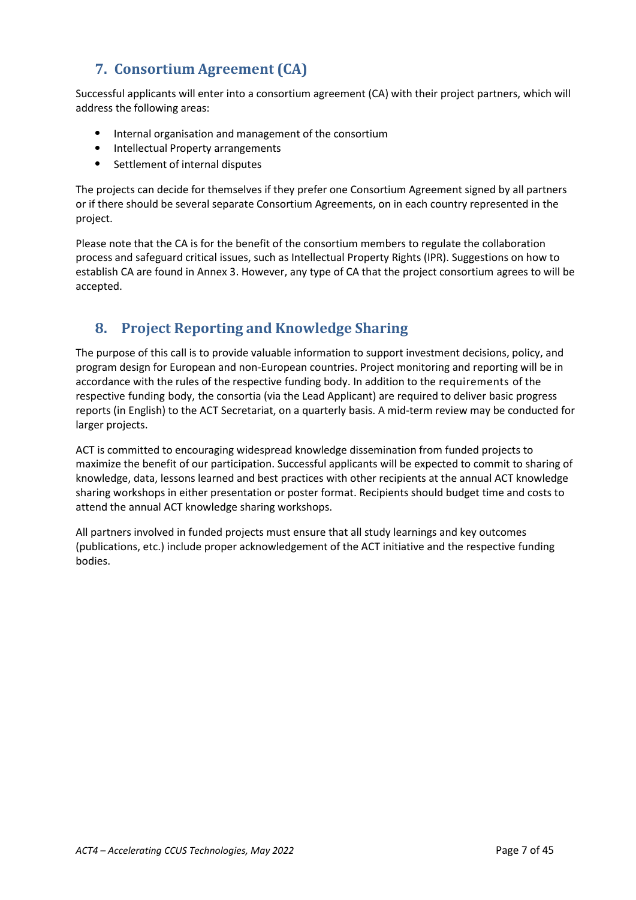## <span id="page-6-0"></span>**7. Consortium Agreement (CA)**

Successful applicants will enter into a consortium agreement (CA) with their project partners, which will address the following areas:

- Internal organisation and management of the consortium
- Intellectual Property arrangements
- Settlement of internal disputes

The projects can decide for themselves if they prefer one Consortium Agreement signed by all partners or if there should be several separate Consortium Agreements, on in each country represented in the project.

Please note that the CA is for the benefit of the consortium members to regulate the collaboration process and safeguard critical issues, such as Intellectual Property Rights (IPR). Suggestions on how to establish CA are found in Annex 3. However, any type of CA that the project consortium agrees to will be accepted.

## **8. Project Reporting and Knowledge Sharing**

<span id="page-6-1"></span>The purpose of this call is to provide valuable information to support investment decisions, policy, and program design for European and non-European countries. Project monitoring and reporting will be in accordance with the rules of the respective funding body. In addition to the requirements of the respective funding body, the consortia (via the Lead Applicant) are required to deliver basic progress reports (in English) to the ACT Secretariat, on a quarterly basis. A mid-term review may be conducted for larger projects.

ACT is committed to encouraging widespread knowledge dissemination from funded projects to maximize the benefit of our participation. Successful applicants will be expected to commit to sharing of knowledge, data, lessons learned and best practices with other recipients at the annual ACT knowledge sharing workshops in either presentation or poster format. Recipients should budget time and costs to attend the annual ACT knowledge sharing workshops.

All partners involved in funded projects must ensure that all study learnings and key outcomes (publications, etc.) include proper acknowledgement of the ACT initiative and the respective funding bodies.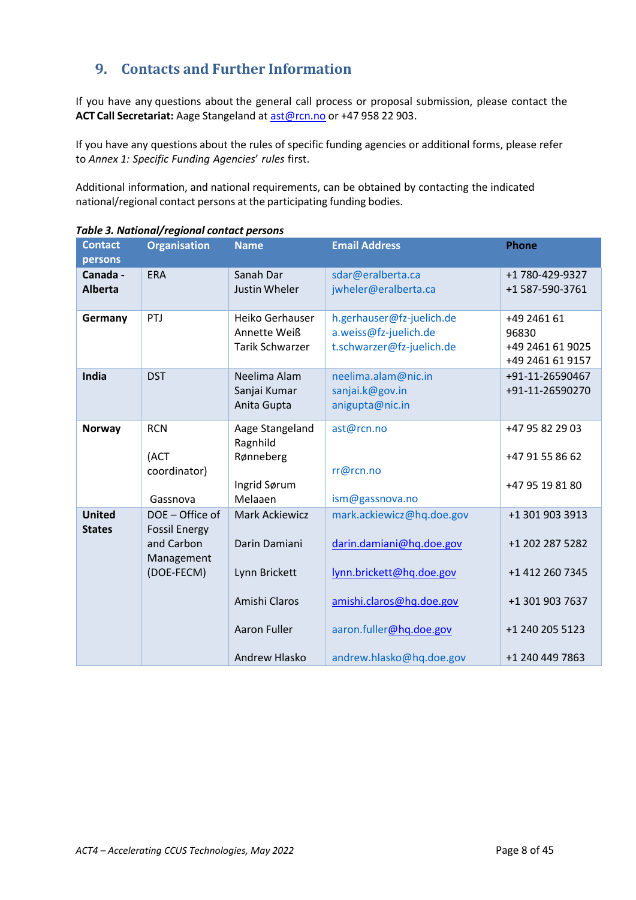## <span id="page-7-0"></span>**9. Contacts and Further Information**

If you have any questions about the general call process or proposal submission, please contact the **ACT Call Secretariat:** Aage Stangeland at [ast@rcn.no](mailto:ast@rcn.no) or +47 958 22 903.

If you have any questions about the rules of specific funding agencies or additional forms, please refer to *Annex 1: Specific Funding Agencies*' *rules* first.

Additional information, and national requirements, can be obtained by contacting the indicated national/regional contact persons at the participating funding bodies.

| <b>Contact</b>                 | <b>Organisation</b>                                                               | <b>Name</b>                                                                                                      | <b>Email Address</b>                                                                                                                                                 | <b>Phone</b>                                                                                                   |
|--------------------------------|-----------------------------------------------------------------------------------|------------------------------------------------------------------------------------------------------------------|----------------------------------------------------------------------------------------------------------------------------------------------------------------------|----------------------------------------------------------------------------------------------------------------|
| persons                        |                                                                                   |                                                                                                                  |                                                                                                                                                                      |                                                                                                                |
| Canada -<br><b>Alberta</b>     | <b>ERA</b>                                                                        | Sanah Dar<br>Justin Wheler                                                                                       | sdar@eralberta.ca<br>jwheler@eralberta.ca                                                                                                                            | +1780-429-9327<br>+1 587-590-3761                                                                              |
| Germany                        | PTJ                                                                               | Heiko Gerhauser<br>Annette Weiß<br><b>Tarik Schwarzer</b>                                                        | h.gerhauser@fz-juelich.de<br>a.weiss@fz-juelich.de<br>t.schwarzer@fz-juelich.de                                                                                      | +49 2461 61<br>96830<br>+49 2461 61 9025<br>+49 2461 61 9157                                                   |
| India                          | <b>DST</b>                                                                        | Neelima Alam<br>Sanjai Kumar<br>Anita Gupta                                                                      | neelima.alam@nic.in<br>sanjai.k@gov.in<br>anigupta@nic.in                                                                                                            | +91-11-26590467<br>+91-11-26590270                                                                             |
| <b>Norway</b>                  | <b>RCN</b><br>(ACT<br>coordinator)<br>Gassnova                                    | Aage Stangeland<br>Ragnhild<br>Rønneberg<br>Ingrid Sørum<br>Melaaen                                              | ast@rcn.no<br>rr@rcn.no<br>ism@gassnova.no                                                                                                                           | +47 95 82 29 03<br>+47 91 55 86 62<br>+47 95 19 81 80                                                          |
| <b>United</b><br><b>States</b> | DOE - Office of<br><b>Fossil Energy</b><br>and Carbon<br>Management<br>(DOE-FECM) | <b>Mark Ackiewicz</b><br>Darin Damiani<br>Lynn Brickett<br>Amishi Claros<br><b>Aaron Fuller</b><br>Andrew Hlasko | mark.ackiewicz@hq.doe.gov<br>darin.damiani@hq.doe.gov<br>lynn.brickett@hq.doe.gov<br>amishi.claros@hq.doe.gov<br>aaron.fuller@hq.doe.gov<br>andrew.hlasko@hq.doe.gov | +1 301 903 3913<br>+1 202 287 5282<br>+1 412 260 7345<br>+1 301 903 7637<br>+1 240 205 5123<br>+1 240 449 7863 |

*Table 3. National/regional contact persons*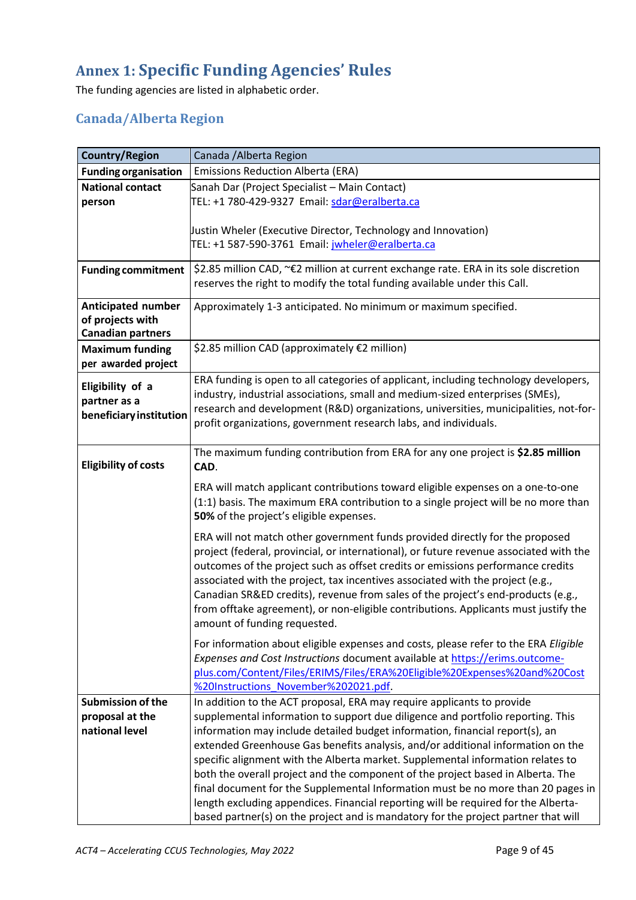## <span id="page-8-0"></span>**Annex 1: Specific Funding Agencies' Rules**

The funding agencies are listed in alphabetic order.

## <span id="page-8-1"></span>**Canada/Alberta Region**

| <b>Country/Region</b>                         | Canada / Alberta Region                                                                                                                                         |
|-----------------------------------------------|-----------------------------------------------------------------------------------------------------------------------------------------------------------------|
| <b>Funding organisation</b>                   | <b>Emissions Reduction Alberta (ERA)</b>                                                                                                                        |
| <b>National contact</b>                       | Sanah Dar (Project Specialist - Main Contact)                                                                                                                   |
| person                                        | TEL: +1 780-429-9327 Email: sdar@eralberta.ca                                                                                                                   |
|                                               |                                                                                                                                                                 |
|                                               | Justin Wheler (Executive Director, Technology and Innovation)                                                                                                   |
|                                               | TEL: +1 587-590-3761 Email: jwheler@eralberta.ca                                                                                                                |
| <b>Funding commitment</b>                     | \$2.85 million CAD, ~€2 million at current exchange rate. ERA in its sole discretion                                                                            |
|                                               | reserves the right to modify the total funding available under this Call.                                                                                       |
|                                               |                                                                                                                                                                 |
| <b>Anticipated number</b><br>of projects with | Approximately 1-3 anticipated. No minimum or maximum specified.                                                                                                 |
| <b>Canadian partners</b>                      |                                                                                                                                                                 |
| <b>Maximum funding</b>                        | \$2.85 million CAD (approximately €2 million)                                                                                                                   |
| per awarded project                           |                                                                                                                                                                 |
|                                               | ERA funding is open to all categories of applicant, including technology developers,                                                                            |
| Eligibility of a                              | industry, industrial associations, small and medium-sized enterprises (SMEs),                                                                                   |
| partner as a                                  | research and development (R&D) organizations, universities, municipalities, not-for-                                                                            |
| beneficiary institution                       | profit organizations, government research labs, and individuals.                                                                                                |
|                                               |                                                                                                                                                                 |
|                                               | The maximum funding contribution from ERA for any one project is \$2.85 million                                                                                 |
| <b>Eligibility of costs</b>                   | CAD.                                                                                                                                                            |
|                                               | ERA will match applicant contributions toward eligible expenses on a one-to-one                                                                                 |
|                                               | (1:1) basis. The maximum ERA contribution to a single project will be no more than                                                                              |
|                                               | 50% of the project's eligible expenses.                                                                                                                         |
|                                               | ERA will not match other government funds provided directly for the proposed                                                                                    |
|                                               | project (federal, provincial, or international), or future revenue associated with the                                                                          |
|                                               | outcomes of the project such as offset credits or emissions performance credits                                                                                 |
|                                               | associated with the project, tax incentives associated with the project (e.g.,                                                                                  |
|                                               | Canadian SR&ED credits), revenue from sales of the project's end-products (e.g.,                                                                                |
|                                               | from offtake agreement), or non-eligible contributions. Applicants must justify the                                                                             |
|                                               | amount of funding requested.                                                                                                                                    |
|                                               | For information about eligible expenses and costs, please refer to the ERA Eligible                                                                             |
|                                               | Expenses and Cost Instructions document available at https://erims.outcome-                                                                                     |
|                                               | plus.com/Content/Files/ERIMS/Files/ERA%20Eligible%20Expenses%20and%20Cost                                                                                       |
|                                               | %20Instructions November%202021.pdf.                                                                                                                            |
| <b>Submission of the</b>                      | In addition to the ACT proposal, ERA may require applicants to provide                                                                                          |
| proposal at the                               | supplemental information to support due diligence and portfolio reporting. This                                                                                 |
| national level                                | information may include detailed budget information, financial report(s), an<br>extended Greenhouse Gas benefits analysis, and/or additional information on the |
|                                               | specific alignment with the Alberta market. Supplemental information relates to                                                                                 |
|                                               | both the overall project and the component of the project based in Alberta. The                                                                                 |
|                                               | final document for the Supplemental Information must be no more than 20 pages in                                                                                |
|                                               | length excluding appendices. Financial reporting will be required for the Alberta-                                                                              |
|                                               | based partner(s) on the project and is mandatory for the project partner that will                                                                              |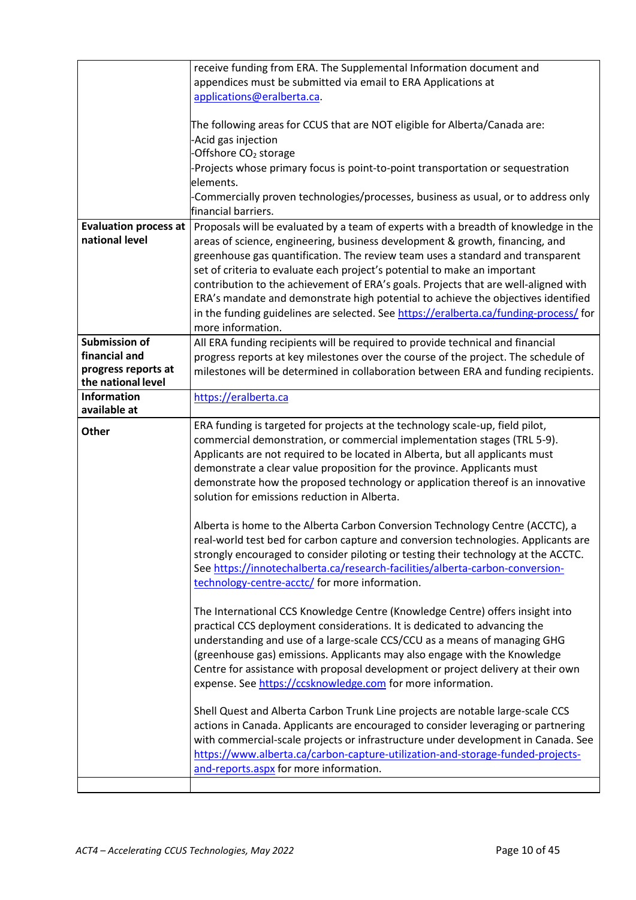<span id="page-9-0"></span>

|                                                | receive funding from ERA. The Supplemental Information document and<br>appendices must be submitted via email to ERA Applications at<br>applications@eralberta.ca.<br>The following areas for CCUS that are NOT eligible for Alberta/Canada are:                                                                                                                                                                                                                                                                                                                                                                                |
|------------------------------------------------|---------------------------------------------------------------------------------------------------------------------------------------------------------------------------------------------------------------------------------------------------------------------------------------------------------------------------------------------------------------------------------------------------------------------------------------------------------------------------------------------------------------------------------------------------------------------------------------------------------------------------------|
|                                                | Acid gas injection<br>Offshore CO <sub>2</sub> storage<br>Projects whose primary focus is point-to-point transportation or sequestration                                                                                                                                                                                                                                                                                                                                                                                                                                                                                        |
|                                                | elements.<br>Commercially proven technologies/processes, business as usual, or to address only<br>financial barriers.                                                                                                                                                                                                                                                                                                                                                                                                                                                                                                           |
| <b>Evaluation process at</b><br>national level | Proposals will be evaluated by a team of experts with a breadth of knowledge in the<br>areas of science, engineering, business development & growth, financing, and<br>greenhouse gas quantification. The review team uses a standard and transparent<br>set of criteria to evaluate each project's potential to make an important<br>contribution to the achievement of ERA's goals. Projects that are well-aligned with<br>ERA's mandate and demonstrate high potential to achieve the objectives identified<br>in the funding guidelines are selected. See https://eralberta.ca/funding-process/ for<br>more information.    |
| Submission of<br>financial and                 | All ERA funding recipients will be required to provide technical and financial<br>progress reports at key milestones over the course of the project. The schedule of                                                                                                                                                                                                                                                                                                                                                                                                                                                            |
| progress reports at<br>the national level      | milestones will be determined in collaboration between ERA and funding recipients.                                                                                                                                                                                                                                                                                                                                                                                                                                                                                                                                              |
| <b>Information</b><br>available at             | https://eralberta.ca                                                                                                                                                                                                                                                                                                                                                                                                                                                                                                                                                                                                            |
| Other                                          | ERA funding is targeted for projects at the technology scale-up, field pilot,<br>commercial demonstration, or commercial implementation stages (TRL 5-9).<br>Applicants are not required to be located in Alberta, but all applicants must<br>demonstrate a clear value proposition for the province. Applicants must<br>demonstrate how the proposed technology or application thereof is an innovative<br>solution for emissions reduction in Alberta.<br>Alberta is home to the Alberta Carbon Conversion Technology Centre (ACCTC), a<br>real-world test bed for carbon capture and conversion technologies. Applicants are |
|                                                | strongly encouraged to consider piloting or testing their technology at the ACCTC.<br>See https://innotechalberta.ca/research-facilities/alberta-carbon-conversion-<br>technology-centre-acctc/ for more information.                                                                                                                                                                                                                                                                                                                                                                                                           |
|                                                | The International CCS Knowledge Centre (Knowledge Centre) offers insight into<br>practical CCS deployment considerations. It is dedicated to advancing the<br>understanding and use of a large-scale CCS/CCU as a means of managing GHG<br>(greenhouse gas) emissions. Applicants may also engage with the Knowledge<br>Centre for assistance with proposal development or project delivery at their own<br>expense. See https://ccsknowledge.com for more information.                                                                                                                                                         |
|                                                | Shell Quest and Alberta Carbon Trunk Line projects are notable large-scale CCS<br>actions in Canada. Applicants are encouraged to consider leveraging or partnering<br>with commercial-scale projects or infrastructure under development in Canada. See<br>https://www.alberta.ca/carbon-capture-utilization-and-storage-funded-projects-<br>and-reports.aspx for more information.                                                                                                                                                                                                                                            |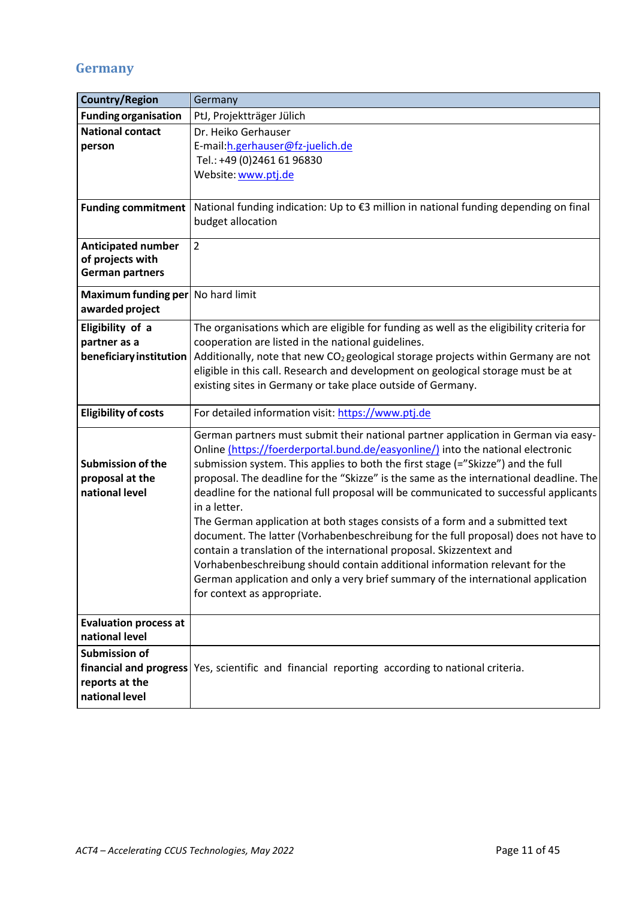## **Germany**

| <b>Country/Region</b>                                         | Germany                                                                                                                                                                                                                                                                                                                                                                                                                                                                                                                                                                                                                                                                                                                                                                                                                                                                         |
|---------------------------------------------------------------|---------------------------------------------------------------------------------------------------------------------------------------------------------------------------------------------------------------------------------------------------------------------------------------------------------------------------------------------------------------------------------------------------------------------------------------------------------------------------------------------------------------------------------------------------------------------------------------------------------------------------------------------------------------------------------------------------------------------------------------------------------------------------------------------------------------------------------------------------------------------------------|
| <b>Funding organisation</b>                                   | PtJ, Projektträger Jülich                                                                                                                                                                                                                                                                                                                                                                                                                                                                                                                                                                                                                                                                                                                                                                                                                                                       |
| <b>National contact</b><br>person                             | Dr. Heiko Gerhauser<br>E-mail: h.gerhauser@fz-juelich.de                                                                                                                                                                                                                                                                                                                                                                                                                                                                                                                                                                                                                                                                                                                                                                                                                        |
|                                                               | Tel.: +49 (0)2461 61 96830                                                                                                                                                                                                                                                                                                                                                                                                                                                                                                                                                                                                                                                                                                                                                                                                                                                      |
|                                                               | Website: www.ptj.de                                                                                                                                                                                                                                                                                                                                                                                                                                                                                                                                                                                                                                                                                                                                                                                                                                                             |
|                                                               |                                                                                                                                                                                                                                                                                                                                                                                                                                                                                                                                                                                                                                                                                                                                                                                                                                                                                 |
| <b>Funding commitment</b>                                     | National funding indication: Up to €3 million in national funding depending on final<br>budget allocation                                                                                                                                                                                                                                                                                                                                                                                                                                                                                                                                                                                                                                                                                                                                                                       |
| <b>Anticipated number</b>                                     | $\overline{2}$                                                                                                                                                                                                                                                                                                                                                                                                                                                                                                                                                                                                                                                                                                                                                                                                                                                                  |
| of projects with<br><b>German partners</b>                    |                                                                                                                                                                                                                                                                                                                                                                                                                                                                                                                                                                                                                                                                                                                                                                                                                                                                                 |
|                                                               |                                                                                                                                                                                                                                                                                                                                                                                                                                                                                                                                                                                                                                                                                                                                                                                                                                                                                 |
| Maximum funding per No hard limit<br>awarded project          |                                                                                                                                                                                                                                                                                                                                                                                                                                                                                                                                                                                                                                                                                                                                                                                                                                                                                 |
| Eligibility of a                                              | The organisations which are eligible for funding as well as the eligibility criteria for                                                                                                                                                                                                                                                                                                                                                                                                                                                                                                                                                                                                                                                                                                                                                                                        |
| partner as a                                                  | cooperation are listed in the national guidelines.                                                                                                                                                                                                                                                                                                                                                                                                                                                                                                                                                                                                                                                                                                                                                                                                                              |
| beneficiary institution                                       | Additionally, note that new CO <sub>2</sub> geological storage projects within Germany are not                                                                                                                                                                                                                                                                                                                                                                                                                                                                                                                                                                                                                                                                                                                                                                                  |
|                                                               | eligible in this call. Research and development on geological storage must be at                                                                                                                                                                                                                                                                                                                                                                                                                                                                                                                                                                                                                                                                                                                                                                                                |
|                                                               | existing sites in Germany or take place outside of Germany.                                                                                                                                                                                                                                                                                                                                                                                                                                                                                                                                                                                                                                                                                                                                                                                                                     |
| <b>Eligibility of costs</b>                                   | For detailed information visit: https://www.ptj.de                                                                                                                                                                                                                                                                                                                                                                                                                                                                                                                                                                                                                                                                                                                                                                                                                              |
| <b>Submission of the</b><br>proposal at the<br>national level | German partners must submit their national partner application in German via easy-<br>Online (https://foerderportal.bund.de/easyonline/) into the national electronic<br>submission system. This applies to both the first stage (="Skizze") and the full<br>proposal. The deadline for the "Skizze" is the same as the international deadline. The<br>deadline for the national full proposal will be communicated to successful applicants<br>in a letter.<br>The German application at both stages consists of a form and a submitted text<br>document. The latter (Vorhabenbeschreibung for the full proposal) does not have to<br>contain a translation of the international proposal. Skizzentext and<br>Vorhabenbeschreibung should contain additional information relevant for the<br>German application and only a very brief summary of the international application |
|                                                               | for context as appropriate.                                                                                                                                                                                                                                                                                                                                                                                                                                                                                                                                                                                                                                                                                                                                                                                                                                                     |
| <b>Evaluation process at</b><br>national level                |                                                                                                                                                                                                                                                                                                                                                                                                                                                                                                                                                                                                                                                                                                                                                                                                                                                                                 |
| Submission of                                                 |                                                                                                                                                                                                                                                                                                                                                                                                                                                                                                                                                                                                                                                                                                                                                                                                                                                                                 |
|                                                               | financial and progress Yes, scientific and financial reporting according to national criteria.                                                                                                                                                                                                                                                                                                                                                                                                                                                                                                                                                                                                                                                                                                                                                                                  |
| reports at the                                                |                                                                                                                                                                                                                                                                                                                                                                                                                                                                                                                                                                                                                                                                                                                                                                                                                                                                                 |
| national level                                                |                                                                                                                                                                                                                                                                                                                                                                                                                                                                                                                                                                                                                                                                                                                                                                                                                                                                                 |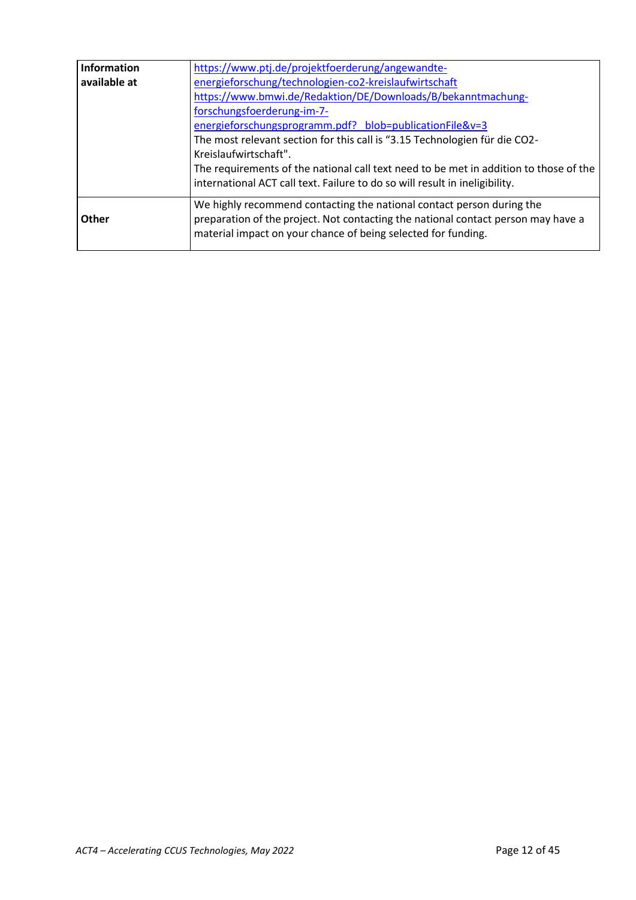| <b>Information</b> | https://www.ptj.de/projektfoerderung/angewandte-                                                                                                                                                                            |
|--------------------|-----------------------------------------------------------------------------------------------------------------------------------------------------------------------------------------------------------------------------|
| available at       | energieforschung/technologien-co2-kreislaufwirtschaft                                                                                                                                                                       |
|                    | https://www.bmwi.de/Redaktion/DE/Downloads/B/bekanntmachung-                                                                                                                                                                |
|                    | forschungsfoerderung-im-7-                                                                                                                                                                                                  |
|                    | energieforschungsprogramm.pdf? blob=publicationFile&v=3                                                                                                                                                                     |
|                    | The most relevant section for this call is "3.15 Technologien für die CO2-                                                                                                                                                  |
|                    | Kreislaufwirtschaft".                                                                                                                                                                                                       |
|                    | The requirements of the national call text need to be met in addition to those of the                                                                                                                                       |
|                    | international ACT call text. Failure to do so will result in ineligibility.                                                                                                                                                 |
| Other              | We highly recommend contacting the national contact person during the<br>preparation of the project. Not contacting the national contact person may have a<br>material impact on your chance of being selected for funding. |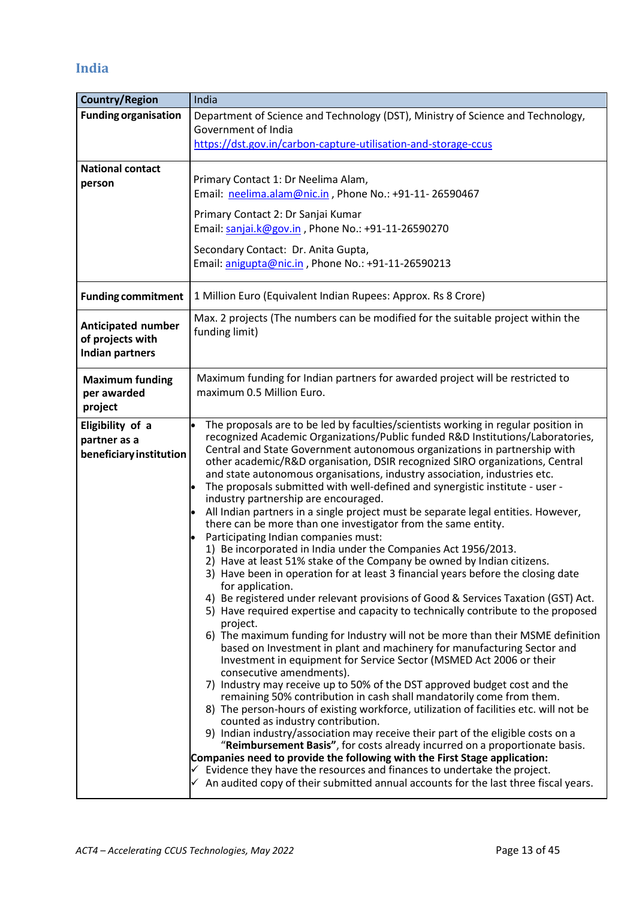## <span id="page-12-0"></span>**India**

| <b>Country/Region</b>                         | India                                                                                                                                                       |
|-----------------------------------------------|-------------------------------------------------------------------------------------------------------------------------------------------------------------|
| <b>Funding organisation</b>                   | Department of Science and Technology (DST), Ministry of Science and Technology,                                                                             |
|                                               | Government of India                                                                                                                                         |
|                                               | https://dst.gov.in/carbon-capture-utilisation-and-storage-ccus                                                                                              |
| <b>National contact</b>                       |                                                                                                                                                             |
| person                                        | Primary Contact 1: Dr Neelima Alam,                                                                                                                         |
|                                               | Email: neelima.alam@nic.in, Phone No.: +91-11-26590467                                                                                                      |
|                                               | Primary Contact 2: Dr Sanjai Kumar                                                                                                                          |
|                                               | Email: sanjai.k@gov.in, Phone No.: +91-11-26590270                                                                                                          |
|                                               |                                                                                                                                                             |
|                                               | Secondary Contact: Dr. Anita Gupta,                                                                                                                         |
|                                               | Email: anigupta@nic.in, Phone No.: +91-11-26590213                                                                                                          |
| <b>Funding commitment</b>                     | 1 Million Euro (Equivalent Indian Rupees: Approx. Rs 8 Crore)                                                                                               |
|                                               | Max. 2 projects (The numbers can be modified for the suitable project within the                                                                            |
| <b>Anticipated number</b><br>of projects with | funding limit)                                                                                                                                              |
| <b>Indian partners</b>                        |                                                                                                                                                             |
|                                               |                                                                                                                                                             |
| <b>Maximum funding</b>                        | Maximum funding for Indian partners for awarded project will be restricted to                                                                               |
| per awarded                                   | maximum 0.5 Million Euro.                                                                                                                                   |
| project                                       |                                                                                                                                                             |
| Eligibility of a                              | The proposals are to be led by faculties/scientists working in regular position in                                                                          |
| partner as a                                  | recognized Academic Organizations/Public funded R&D Institutions/Laboratories,<br>Central and State Government autonomous organizations in partnership with |
| beneficiary institution                       | other academic/R&D organisation, DSIR recognized SIRO organizations, Central                                                                                |
|                                               | and state autonomous organisations, industry association, industries etc.                                                                                   |
|                                               | The proposals submitted with well-defined and synergistic institute - user -                                                                                |
|                                               | industry partnership are encouraged.<br>All Indian partners in a single project must be separate legal entities. However,                                   |
|                                               | there can be more than one investigator from the same entity.                                                                                               |
|                                               | Participating Indian companies must:                                                                                                                        |
|                                               | 1) Be incorporated in India under the Companies Act 1956/2013.                                                                                              |
|                                               | 2) Have at least 51% stake of the Company be owned by Indian citizens.<br>3) Have been in operation for at least 3 financial years before the closing date  |
|                                               | for application.                                                                                                                                            |
|                                               | 4) Be registered under relevant provisions of Good & Services Taxation (GST) Act.                                                                           |
|                                               | 5) Have required expertise and capacity to technically contribute to the proposed                                                                           |
|                                               | project.<br>6) The maximum funding for Industry will not be more than their MSME definition                                                                 |
|                                               | based on Investment in plant and machinery for manufacturing Sector and                                                                                     |
|                                               | Investment in equipment for Service Sector (MSMED Act 2006 or their                                                                                         |
|                                               | consecutive amendments).                                                                                                                                    |
|                                               | 7) Industry may receive up to 50% of the DST approved budget cost and the<br>remaining 50% contribution in cash shall mandatorily come from them.           |
|                                               | 8) The person-hours of existing workforce, utilization of facilities etc. will not be                                                                       |
|                                               | counted as industry contribution.                                                                                                                           |
|                                               | 9) Indian industry/association may receive their part of the eligible costs on a                                                                            |
|                                               | "Reimbursement Basis", for costs already incurred on a proportionate basis.<br>Companies need to provide the following with the First Stage application:    |
|                                               | Evidence they have the resources and finances to undertake the project.                                                                                     |
|                                               | An audited copy of their submitted annual accounts for the last three fiscal years.                                                                         |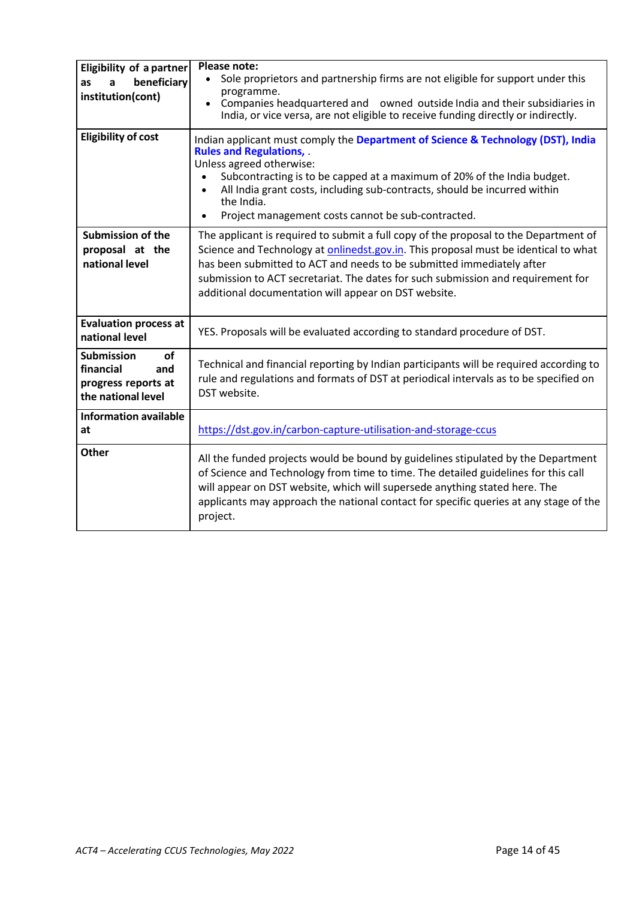| <b>Eligibility of a partner</b><br>beneficiary<br>as<br>a<br>institution(cont)           | <b>Please note:</b><br>Sole proprietors and partnership firms are not eligible for support under this<br>$\bullet$<br>programme.<br>Companies headquartered and owned outside India and their subsidiaries in<br>$\bullet$<br>India, or vice versa, are not eligible to receive funding directly or indirectly.                                                                                  |
|------------------------------------------------------------------------------------------|--------------------------------------------------------------------------------------------------------------------------------------------------------------------------------------------------------------------------------------------------------------------------------------------------------------------------------------------------------------------------------------------------|
| <b>Eligibility of cost</b>                                                               | Indian applicant must comply the Department of Science & Technology (DST), India<br><b>Rules and Regulations,</b><br>Unless agreed otherwise:<br>Subcontracting is to be capped at a maximum of 20% of the India budget.<br>All India grant costs, including sub-contracts, should be incurred within<br>the India.<br>Project management costs cannot be sub-contracted.<br>$\bullet$           |
| <b>Submission of the</b><br>proposal at the<br>national level                            | The applicant is required to submit a full copy of the proposal to the Department of<br>Science and Technology at onlinedst.gov.in. This proposal must be identical to what<br>has been submitted to ACT and needs to be submitted immediately after<br>submission to ACT secretariat. The dates for such submission and requirement for<br>additional documentation will appear on DST website. |
| <b>Evaluation process at</b><br>national level                                           | YES. Proposals will be evaluated according to standard procedure of DST.                                                                                                                                                                                                                                                                                                                         |
| of<br><b>Submission</b><br>financial<br>and<br>progress reports at<br>the national level | Technical and financial reporting by Indian participants will be required according to<br>rule and regulations and formats of DST at periodical intervals as to be specified on<br>DST website.                                                                                                                                                                                                  |
| <b>Information available</b><br>at                                                       | https://dst.gov.in/carbon-capture-utilisation-and-storage-ccus                                                                                                                                                                                                                                                                                                                                   |
| <b>Other</b>                                                                             | All the funded projects would be bound by guidelines stipulated by the Department<br>of Science and Technology from time to time. The detailed guidelines for this call<br>will appear on DST website, which will supersede anything stated here. The<br>applicants may approach the national contact for specific queries at any stage of the<br>project.                                       |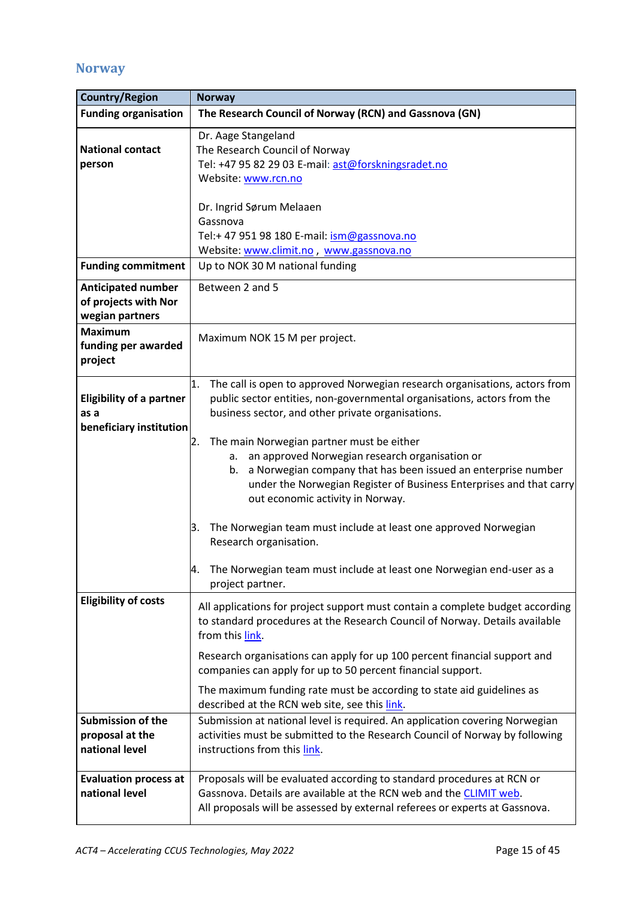## <span id="page-14-0"></span>**Norway**

| <b>Country/Region</b>                                                | <b>Norway</b>                                                                                                                                                                                                                                                                             |
|----------------------------------------------------------------------|-------------------------------------------------------------------------------------------------------------------------------------------------------------------------------------------------------------------------------------------------------------------------------------------|
| <b>Funding organisation</b>                                          | The Research Council of Norway (RCN) and Gassnova (GN)                                                                                                                                                                                                                                    |
| <b>National contact</b><br>person                                    | Dr. Aage Stangeland<br>The Research Council of Norway<br>Tel: +47 95 82 29 03 E-mail: ast@forskningsradet.no<br>Website: www.rcn.no                                                                                                                                                       |
|                                                                      | Dr. Ingrid Sørum Melaaen<br>Gassnova<br>Tel:+ 47 951 98 180 E-mail: ism@gassnova.no<br>Website: www.climit.no, www.gassnova.no                                                                                                                                                            |
| <b>Funding commitment</b>                                            | Up to NOK 30 M national funding                                                                                                                                                                                                                                                           |
| <b>Anticipated number</b><br>of projects with Nor<br>wegian partners | Between 2 and 5                                                                                                                                                                                                                                                                           |
| <b>Maximum</b><br>funding per awarded<br>project                     | Maximum NOK 15 M per project.                                                                                                                                                                                                                                                             |
| <b>Eligibility of a partner</b><br>as a<br>beneficiary institution   | The call is open to approved Norwegian research organisations, actors from<br>1.<br>public sector entities, non-governmental organisations, actors from the<br>business sector, and other private organisations.                                                                          |
|                                                                      | The main Norwegian partner must be either<br>2.<br>an approved Norwegian research organisation or<br>а.<br>a Norwegian company that has been issued an enterprise number<br>b.<br>under the Norwegian Register of Business Enterprises and that carry<br>out economic activity in Norway. |
|                                                                      | The Norwegian team must include at least one approved Norwegian<br>3.<br>Research organisation.                                                                                                                                                                                           |
|                                                                      | The Norwegian team must include at least one Norwegian end-user as a<br>project partner.                                                                                                                                                                                                  |
| <b>Eligibility of costs</b>                                          | All applications for project support must contain a complete budget according<br>to standard procedures at the Research Council of Norway. Details available<br>from this link.                                                                                                           |
|                                                                      | Research organisations can apply for up 100 percent financial support and<br>companies can apply for up to 50 percent financial support.                                                                                                                                                  |
|                                                                      | The maximum funding rate must be according to state aid guidelines as<br>described at the RCN web site, see this link.                                                                                                                                                                    |
| <b>Submission of the</b><br>proposal at the<br>national level        | Submission at national level is required. An application covering Norwegian<br>activities must be submitted to the Research Council of Norway by following<br>instructions from this link.                                                                                                |
| <b>Evaluation process at</b><br>national level                       | Proposals will be evaluated according to standard procedures at RCN or<br>Gassnova. Details are available at the RCN web and the CLIMIT web.<br>All proposals will be assessed by external referees or experts at Gassnova.                                                               |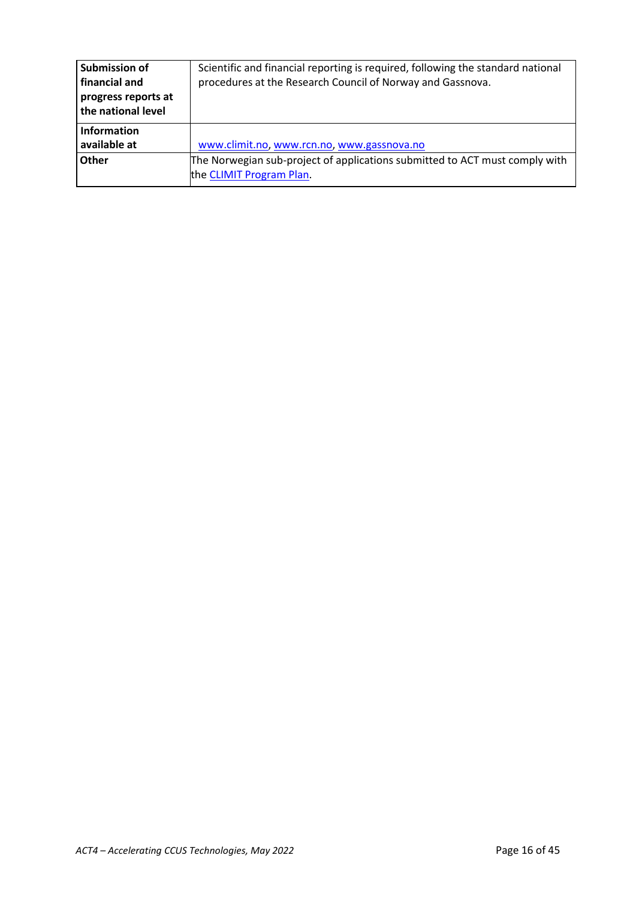| Submission of       | Scientific and financial reporting is required, following the standard national |
|---------------------|---------------------------------------------------------------------------------|
| financial and       | procedures at the Research Council of Norway and Gassnova.                      |
| progress reports at |                                                                                 |
| the national level  |                                                                                 |
| <b>Information</b>  |                                                                                 |
| available at        | www.climit.no, www.rcn.no, www.gassnova.no                                      |
| Other               | The Norwegian sub-project of applications submitted to ACT must comply with     |
|                     | the CLIMIT Program Plan.                                                        |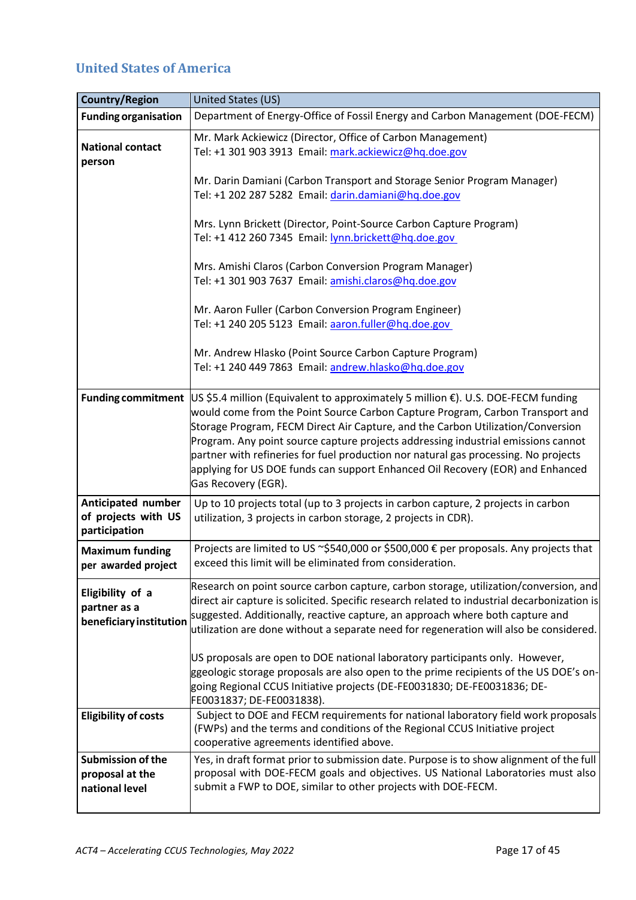## <span id="page-16-0"></span>**United States of America**

| <b>Country/Region</b>                                         | United States (US)                                                                                                                                                                                                                                                                                                                                                                                                                                                                                                                                                              |
|---------------------------------------------------------------|---------------------------------------------------------------------------------------------------------------------------------------------------------------------------------------------------------------------------------------------------------------------------------------------------------------------------------------------------------------------------------------------------------------------------------------------------------------------------------------------------------------------------------------------------------------------------------|
| <b>Funding organisation</b>                                   | Department of Energy-Office of Fossil Energy and Carbon Management (DOE-FECM)                                                                                                                                                                                                                                                                                                                                                                                                                                                                                                   |
| <b>National contact</b><br>person                             | Mr. Mark Ackiewicz (Director, Office of Carbon Management)<br>Tel: +1 301 903 3913 Email: mark.ackiewicz@hq.doe.gov                                                                                                                                                                                                                                                                                                                                                                                                                                                             |
|                                                               | Mr. Darin Damiani (Carbon Transport and Storage Senior Program Manager)<br>Tel: +1 202 287 5282 Email: darin.damiani@hq.doe.gov                                                                                                                                                                                                                                                                                                                                                                                                                                                 |
|                                                               | Mrs. Lynn Brickett (Director, Point-Source Carbon Capture Program)<br>Tel: +1 412 260 7345 Email: lynn.brickett@hq.doe.gov                                                                                                                                                                                                                                                                                                                                                                                                                                                      |
|                                                               | Mrs. Amishi Claros (Carbon Conversion Program Manager)<br>Tel: +1 301 903 7637 Email: amishi.claros@hq.doe.gov                                                                                                                                                                                                                                                                                                                                                                                                                                                                  |
|                                                               | Mr. Aaron Fuller (Carbon Conversion Program Engineer)<br>Tel: +1 240 205 5123 Email: aaron.fuller@hq.doe.gov                                                                                                                                                                                                                                                                                                                                                                                                                                                                    |
|                                                               | Mr. Andrew Hlasko (Point Source Carbon Capture Program)<br>Tel: +1 240 449 7863 Email: andrew.hlasko@hq.doe.gov                                                                                                                                                                                                                                                                                                                                                                                                                                                                 |
|                                                               | Funding commitment $\vert$ US \$5.4 million (Equivalent to approximately 5 million $\epsilon$ ). U.S. DOE-FECM funding<br>would come from the Point Source Carbon Capture Program, Carbon Transport and<br>Storage Program, FECM Direct Air Capture, and the Carbon Utilization/Conversion<br>Program. Any point source capture projects addressing industrial emissions cannot<br>partner with refineries for fuel production nor natural gas processing. No projects<br>applying for US DOE funds can support Enhanced Oil Recovery (EOR) and Enhanced<br>Gas Recovery (EGR). |
| Anticipated number<br>of projects with US<br>participation    | Up to 10 projects total (up to 3 projects in carbon capture, 2 projects in carbon<br>utilization, 3 projects in carbon storage, 2 projects in CDR).                                                                                                                                                                                                                                                                                                                                                                                                                             |
| <b>Maximum funding</b><br>per awarded project                 | Projects are limited to US ~\$540,000 or \$500,000 € per proposals. Any projects that<br>exceed this limit will be eliminated from consideration.                                                                                                                                                                                                                                                                                                                                                                                                                               |
| Eligibility of a<br>partner as a<br>beneficiary institution   | Research on point source carbon capture, carbon storage, utilization/conversion, and<br>direct air capture is solicited. Specific research related to industrial decarbonization is<br>suggested. Additionally, reactive capture, an approach where both capture and<br>utilization are done without a separate need for regeneration will also be considered.                                                                                                                                                                                                                  |
|                                                               | US proposals are open to DOE national laboratory participants only. However,<br>ggeologic storage proposals are also open to the prime recipients of the US DOE's on-<br>going Regional CCUS Initiative projects (DE-FE0031830; DE-FE0031836; DE-<br>FE0031837; DE-FE0031838).                                                                                                                                                                                                                                                                                                  |
| <b>Eligibility of costs</b>                                   | Subject to DOE and FECM requirements for national laboratory field work proposals<br>(FWPs) and the terms and conditions of the Regional CCUS Initiative project<br>cooperative agreements identified above.                                                                                                                                                                                                                                                                                                                                                                    |
| <b>Submission of the</b><br>proposal at the<br>national level | Yes, in draft format prior to submission date. Purpose is to show alignment of the full<br>proposal with DOE-FECM goals and objectives. US National Laboratories must also<br>submit a FWP to DOE, similar to other projects with DOE-FECM.                                                                                                                                                                                                                                                                                                                                     |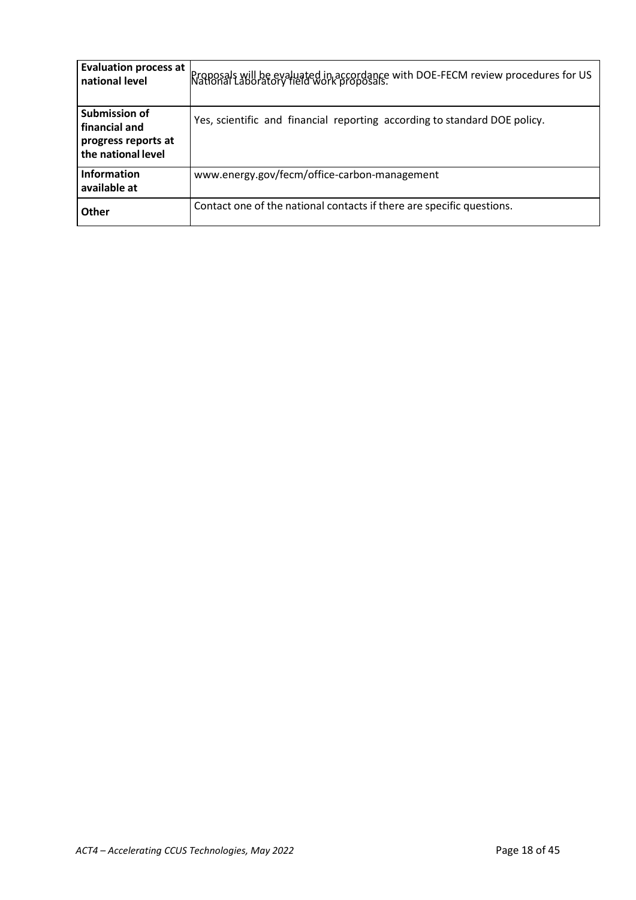| <b>Evaluation process at</b><br>national level                                     | Proposals will be evaluated in accordance with DOE-FECM review procedures for US<br>National Laboratory field work proposals. |
|------------------------------------------------------------------------------------|-------------------------------------------------------------------------------------------------------------------------------|
| <b>Submission of</b><br>financial and<br>progress reports at<br>the national level | Yes, scientific and financial reporting according to standard DOE policy.                                                     |
| <b>Information</b><br>available at                                                 | www.energy.gov/fecm/office-carbon-management                                                                                  |
| Other                                                                              | Contact one of the national contacts if there are specific questions.                                                         |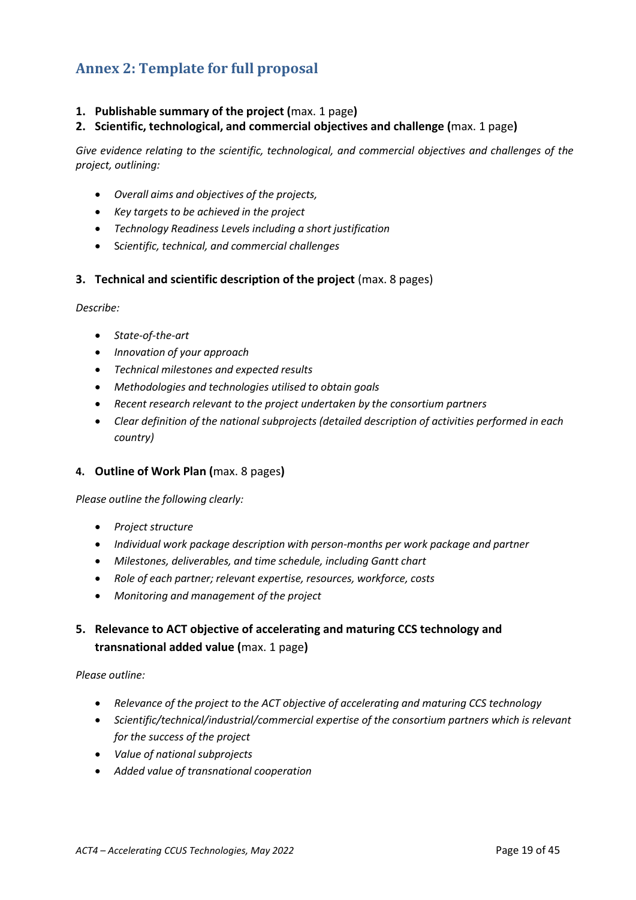## <span id="page-18-0"></span>**Annex 2: Template for full proposal**

#### **1. Publishable summary of the project (**max. 1 page**)**

**2. Scientific, technological, and commercial objectives and challenge (**max. 1 page**)**

*Give evidence relating to the scientific, technological, and commercial objectives and challenges of the project, outlining:*

- *Overall aims and objectives of the projects,*
- *Key targets to be achieved in the project*
- *Technology Readiness Levels including a short justification*
- S*cientific, technical, and commercial challenges*
- **3. Technical and scientific description of the project** (max. 8 pages)

*Describe:*

- *State-of-the-art*
- *Innovation of your approach*
- *Technical milestones and expected results*
- *Methodologies and technologies utilised to obtain goals*
- *Recent research relevant to the project undertaken by the consortium partners*
- *Clear definition of the national subprojects (detailed description of activities performed in each country)*

#### **4. Outline of Work Plan (**max. 8 pages**)**

#### *Please outline the following clearly:*

- *Project structure*
- *Individual work package description with person-months per work package and partner*
- *Milestones, deliverables, and time schedule, including Gantt chart*
- *Role of each partner; relevant expertise, resources, workforce, costs*
- *Monitoring and management of the project*

### **5. Relevance to ACT objective of accelerating and maturing CCS technology and transnational added value (**max. 1 page**)**

*Please outline:*

- *Relevance of the project to the ACT objective of accelerating and maturing CCS technology*
- *Scientific/technical/industrial/commercial expertise of the consortium partners which is relevant for the success of the project*
- *Value of national subprojects*
- *Added value of transnational cooperation*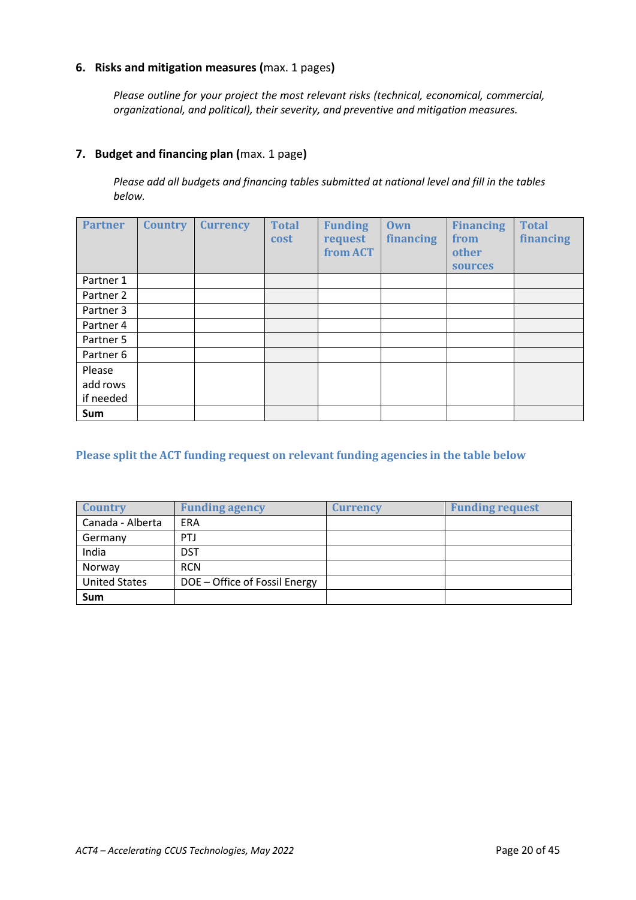#### **6. Risks and mitigation measures (**max. 1 pages**)**

*Please outline for your project the most relevant risks (technical, economical, commercial, organizational, and political), their severity, and preventive and mitigation measures.*

#### **7. Budget and financing plan (**max. 1 page**)**

*Please add all budgets and financing tables submitted at national level and fill in the tables below.*

| <b>Partner</b> | <b>Country</b> | <b>Currency</b> | <b>Total</b><br><b>cost</b> | <b>Funding</b><br>request<br>from ACT | <b>Own</b><br>financing | <b>Financing</b><br>from<br>other<br>sources | <b>Total</b><br><b>financing</b> |
|----------------|----------------|-----------------|-----------------------------|---------------------------------------|-------------------------|----------------------------------------------|----------------------------------|
| Partner 1      |                |                 |                             |                                       |                         |                                              |                                  |
| Partner 2      |                |                 |                             |                                       |                         |                                              |                                  |
| Partner 3      |                |                 |                             |                                       |                         |                                              |                                  |
| Partner 4      |                |                 |                             |                                       |                         |                                              |                                  |
| Partner 5      |                |                 |                             |                                       |                         |                                              |                                  |
| Partner 6      |                |                 |                             |                                       |                         |                                              |                                  |
| Please         |                |                 |                             |                                       |                         |                                              |                                  |
| add rows       |                |                 |                             |                                       |                         |                                              |                                  |
| if needed      |                |                 |                             |                                       |                         |                                              |                                  |
| Sum            |                |                 |                             |                                       |                         |                                              |                                  |

#### **Please split the ACT funding request on relevant funding agencies in the table below**

| <b>Country</b>       | <b>Funding agency</b>         | <b>Currency</b> | <b>Funding request</b> |
|----------------------|-------------------------------|-----------------|------------------------|
| Canada - Alberta     | ERA                           |                 |                        |
| Germany              | <b>PTJ</b>                    |                 |                        |
| India                | <b>DST</b>                    |                 |                        |
| Norway               | <b>RCN</b>                    |                 |                        |
| <b>United States</b> | DOE - Office of Fossil Energy |                 |                        |
| Sum                  |                               |                 |                        |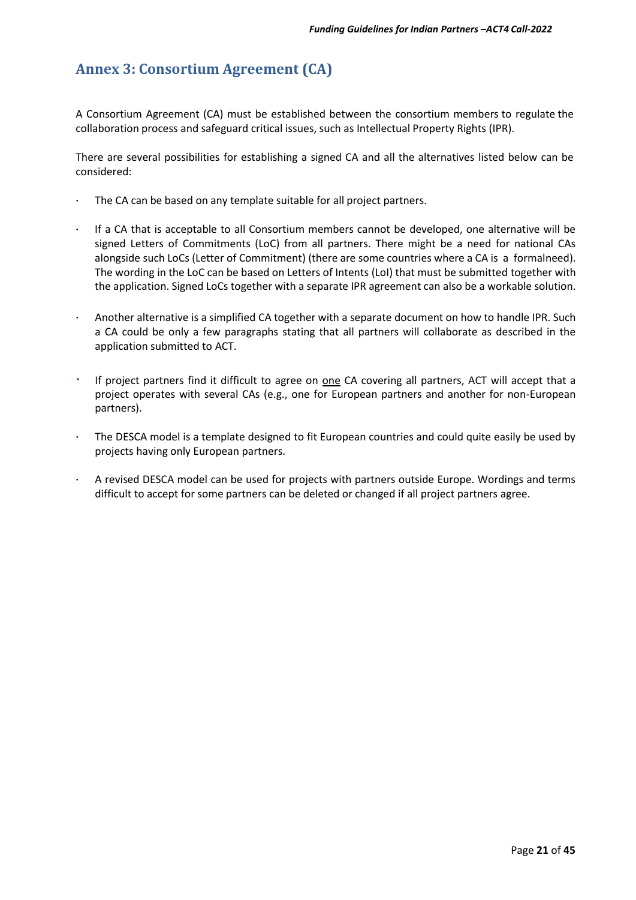## <span id="page-20-0"></span>**Annex 3: Consortium Agreement (CA)**

A Consortium Agreement (CA) must be established between the consortium members to regulate the collaboration process and safeguard critical issues, such as Intellectual Property Rights (IPR).

There are several possibilities for establishing a signed CA and all the alternatives listed below can be considered:

- The CA can be based on any template suitable for all project partners.
- · If a CA that is acceptable to all Consortium members cannot be developed, one alternative will be signed Letters of Commitments (LoC) from all partners. There might be a need for national CAs alongside such LoCs (Letter of Commitment) (there are some countries where a CA is a formalneed). The wording in the LoC can be based on Letters of Intents (LoI) that must be submitted together with the application. Signed LoCs together with a separate IPR agreement can also be a workable solution.
- Another alternative is a simplified CA together with a separate document on how to handle IPR. Such a CA could be only a few paragraphs stating that all partners will collaborate as described in the application submitted to ACT.
- If project partners find it difficult to agree on one CA covering all partners, ACT will accept that a project operates with several CAs (e.g., one for European partners and another for non-European partners).
- The DESCA model is a template designed to fit European countries and could quite easily be used by projects having only European partners.
- · A revised DESCA model can be used for projects with partners outside Europe. Wordings and terms difficult to accept for some partners can be deleted or changed if all project partners agree.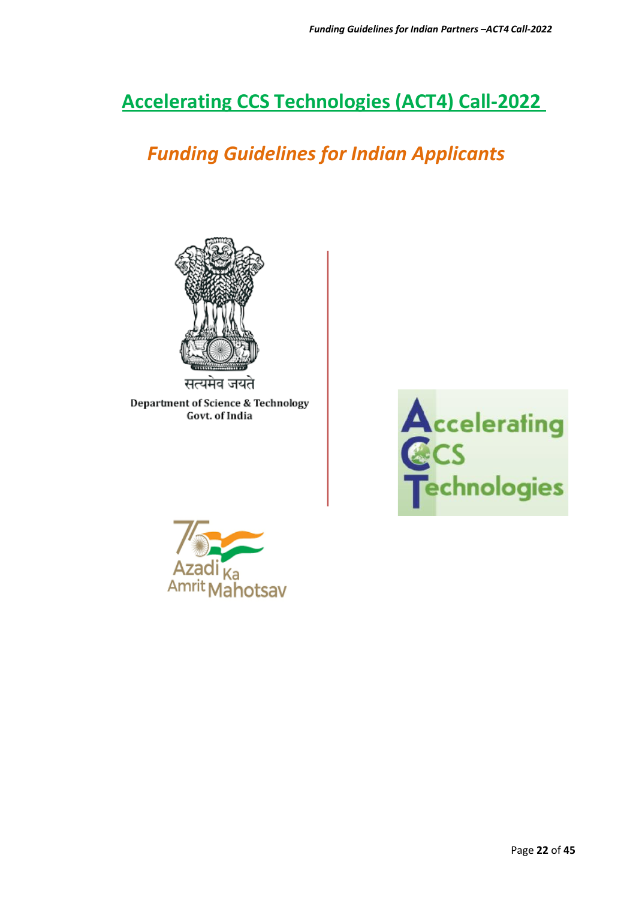## **Accelerating CCS Technologies (ACT4) Call-2022**

## *Funding Guidelines for Indian Applicants*



Department of Science & Technology Govt. of India



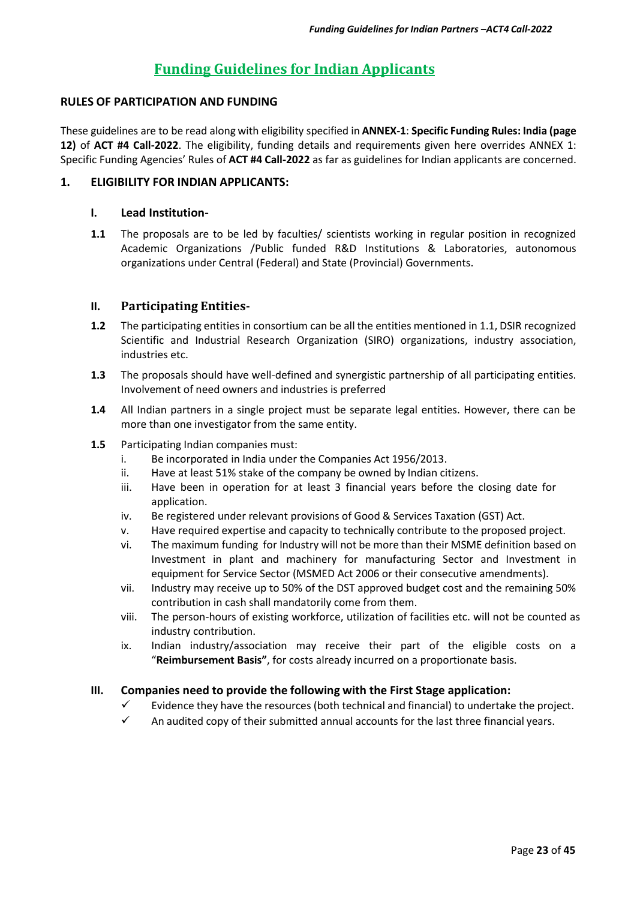## **Funding Guidelines for Indian Applicants**

#### **RULES OF PARTICIPATION AND FUNDING**

These guidelines are to be read along with eligibility specified in **ANNEX-1**: **Specific Funding Rules: India (page 12)** of **ACT #4 Call-2022**. The eligibility, funding details and requirements given here overrides ANNEX 1: Specific Funding Agencies' Rules of **ACT #4 Call-2022** as far as guidelines for Indian applicants are concerned.

#### **1. ELIGIBILITY FOR INDIAN APPLICANTS:**

#### **I. Lead Institution-**

**1.1** The proposals are to be led by faculties/ scientists working in regular position in recognized Academic Organizations /Public funded R&D Institutions & Laboratories, autonomous organizations under Central (Federal) and State (Provincial) Governments.

#### **II. Participating Entities-**

- **1.2** The participating entities in consortium can be all the entities mentioned in 1.1, DSIR recognized Scientific and Industrial Research Organization (SIRO) organizations, industry association, industries etc.
- **1.3** The proposals should have well-defined and synergistic partnership of all participating entities. Involvement of need owners and industries is preferred
- **1.4** All Indian partners in a single project must be separate legal entities. However, there can be more than one investigator from the same entity.
- **1.5** Participating Indian companies must:
	- i. Be incorporated in India under the Companies Act 1956/2013.
	- ii. Have at least 51% stake of the company be owned by Indian citizens.
	- iii. Have been in operation for at least 3 financial years before the closing date for application.
	- iv. Be registered under relevant provisions of Good & Services Taxation (GST) Act.
	- v. Have required expertise and capacity to technically contribute to the proposed project.
	- vi. The maximum funding for Industry will not be more than their MSME definition based on Investment in plant and machinery for manufacturing Sector and Investment in equipment for Service Sector (MSMED Act 2006 or their consecutive amendments).
	- vii. Industry may receive up to 50% of the DST approved budget cost and the remaining 50% contribution in cash shall mandatorily come from them.
	- viii. The person-hours of existing workforce, utilization of facilities etc. will not be counted as industry contribution.
	- ix. Indian industry/association may receive their part of the eligible costs on a "**Reimbursement Basis"**, for costs already incurred on a proportionate basis.

#### **III. Companies need to provide the following with the First Stage application:**

- Evidence they have the resources (both technical and financial) to undertake the project.
- $\checkmark$  An audited copy of their submitted annual accounts for the last three financial years.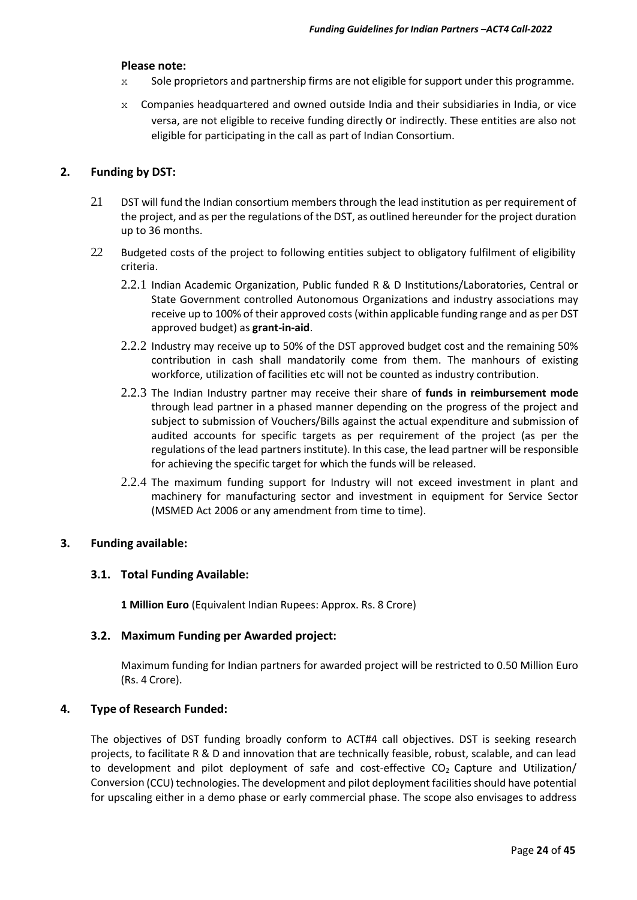#### **Please note:**

- $x =$  Sole proprietors and partnership firms are not eligible for support under this programme.
- $x$  Companies headquartered and owned outside India and their subsidiaries in India, or vice versa, are not eligible to receive funding directly or indirectly. These entities are also not eligible for participating in the call as part of Indian Consortium.

#### **2. Funding by DST:**

- 2.1 DST will fund the Indian consortium members through the lead institution as per requirement of the project, and as per the regulations of the DST, as outlined hereunder for the project duration up to 36 months.
- 2.2 Budgeted costs of the project to following entities subject to obligatory fulfilment of eligibility criteria.
	- 2.2.1 Indian Academic Organization, Public funded R & D Institutions/Laboratories, Central or State Government controlled Autonomous Organizations and industry associations may receive up to 100% of their approved costs (within applicable funding range and as per DST approved budget) as **grant-in-aid**.
	- 2.2.2 Industry may receive up to 50% of the DST approved budget cost and the remaining 50% contribution in cash shall mandatorily come from them. The manhours of existing workforce, utilization of facilities etc will not be counted as industry contribution.
	- 2.2.3 The Indian Industry partner may receive their share of **funds in reimbursement mode** through lead partner in a phased manner depending on the progress of the project and subject to submission of Vouchers/Bills against the actual expenditure and submission of audited accounts for specific targets as per requirement of the project (as per the regulations of the lead partners institute). In this case, the lead partner will be responsible for achieving the specific target for which the funds will be released.
	- 2.2.4 The maximum funding support for Industry will not exceed investment in plant and machinery for manufacturing sector and investment in equipment for Service Sector (MSMED Act 2006 or any amendment from time to time).

#### **3. Funding available:**

#### **3.1. Total Funding Available:**

**1 Million Euro** (Equivalent Indian Rupees: Approx. Rs. 8 Crore)

#### **3.2. Maximum Funding per Awarded project:**

Maximum funding for Indian partners for awarded project will be restricted to 0.50 Million Euro (Rs. 4 Crore).

#### **4. Type of Research Funded:**

The objectives of DST funding broadly conform to ACT#4 call objectives. DST is seeking research projects, to facilitate R & D and innovation that are technically feasible, robust, scalable, and can lead to development and pilot deployment of safe and cost-effective  $CO<sub>2</sub>$  Capture and Utilization/ Conversion (CCU) technologies. The development and pilot deployment facilities should have potential for upscaling either in a demo phase or early commercial phase. The scope also envisages to address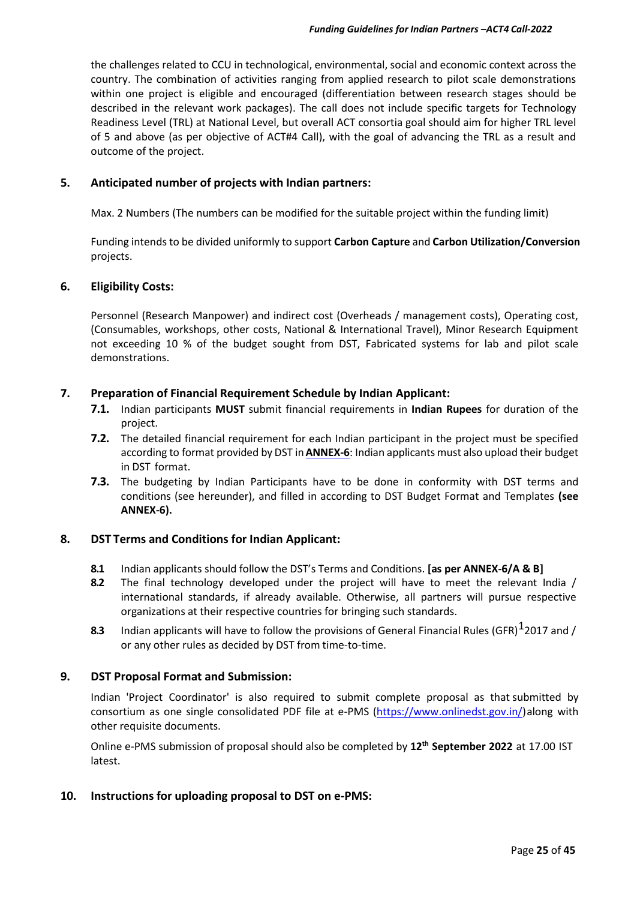the challenges related to CCU in technological, environmental, social and economic context across the country. The combination of activities ranging from applied research to pilot scale demonstrations within one project is eligible and encouraged (differentiation between research stages should be described in the relevant work packages). The call does not include specific targets for Technology Readiness Level (TRL) at National Level, but overall ACT consortia goal should aim for higher TRL level of 5 and above (as per objective of ACT#4 Call), with the goal of advancing the TRL as a result and outcome of the project.

#### **5. Anticipated number of projects with Indian partners:**

Max. 2 Numbers (The numbers can be modified for the suitable project within the funding limit)

Funding intends to be divided uniformly to support **Carbon Capture** and **Carbon Utilization/Conversion** projects.

#### **6. Eligibility Costs:**

Personnel (Research Manpower) and indirect cost (Overheads / management costs), Operating cost, (Consumables, workshops, other costs, National & International Travel), Minor Research Equipment not exceeding 10 % of the budget sought from DST, Fabricated systems for lab and pilot scale demonstrations.

#### **7. Preparation of Financial Requirement Schedule by Indian Applicant:**

- **7.1.** Indian participants **MUST** submit financial requirements in **Indian Rupees** for duration of the project.
- **7.2.** The detailed financial requirement for each Indian participant in the project must be specified according to format provided by DST in**ANNEX-6**: Indian applicants must also upload their budget in DST format.
- **7.3.** The budgeting by Indian Participants have to be done in conformity with DST terms and conditions (see hereunder), and filled in according to DST Budget Format and Templates **(see ANNEX-6).**

#### **8. DST Terms and Conditions for Indian Applicant:**

- **8.1** Indian applicants should follow the DST's Terms and Conditions. **[as per ANNEX-6/A & B]**
- **8.2** The final technology developed under the project will have to meet the relevant India / international standards, if already available. Otherwise, all partners will pursue respective organizations at their respective countries for bringing such standards.
- **8.3** Indian applicants will have to follow the provisions of General Financial Rules (GFR)  $1$ 2017 and / or any other rules as decided by DST from time-to-time.

#### **9. DST Proposal Format and Submission:**

Indian 'Project Coordinator' is also required to submit complete proposal as that submitted by consortium as one single consolidated PDF file at e-PMS [\(https://www.onlinedst.gov.in/\)](https://www.onlinedst.gov.in/)along with other requisite documents.

Online e-PMS submission of proposal should also be completed by **12th September 2022** at 17.00 IST latest.

#### **10. Instructions for uploading proposal to DST on e-PMS:**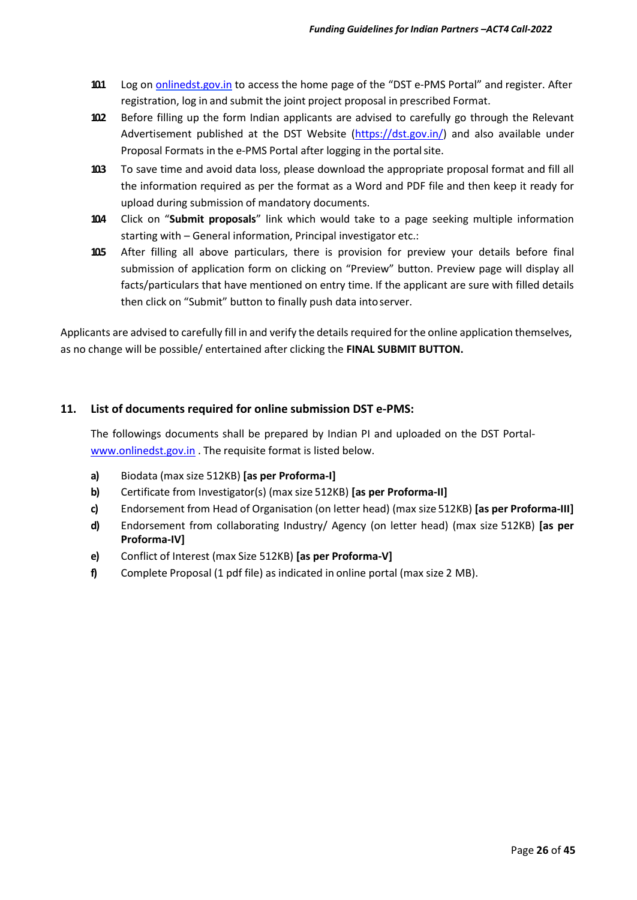- **10.1** Log on [onlinedst.gov.in](http://upsssc.gov.in/AllNotifications.aspx) to access the home page of the "DST e-PMS Portal" and register. After registration, log in and submit the joint project proposal in prescribed Format.
- **10.2** Before filling up the form Indian applicants are advised to carefully go through the Relevant Advertisement published at the DST Website [\(https://dst.gov.in/\)](https://dst.gov.in/) and also available under Proposal Formats in the e-PMS Portal after logging in the portal site.
- **10.3** To save time and avoid data loss, please download the appropriate proposal format and fill all the information required as per the format as a Word and PDF file and then keep it ready for upload during submission of mandatory documents.
- **10.4** Click on "**Submit proposals**" link which would take to a page seeking multiple information starting with – General information, Principal investigator etc.:
- **10.5** After filling all above particulars, there is provision for preview your details before final submission of application form on clicking on "Preview" button. Preview page will display all facts/particulars that have mentioned on entry time. If the applicant are sure with filled details then click on "Submit" button to finally push data intoserver.

Applicants are advised to carefully fill in and verify the details required forthe online application themselves, as no change will be possible/ entertained after clicking the **FINAL SUBMIT BUTTON.**

#### **11. List of documents required for online submission DST e-PMS:**

The followings documents shall be prepared by Indian PI and uploaded on the DST Portal[www.onlinedst.gov.in](http://www.onlinedst.gov.in/) . The requisite format is listed below.

- **a)** Biodata (max size 512KB) **[as per Proforma-I]**
- **b)** Certificate from Investigator(s) (max size 512KB) **[as per Proforma-II]**
- **c)** Endorsement from Head of Organisation (on letter head) (max size 512KB) **[as per Proforma-III]**
- **d)** Endorsement from collaborating Industry/ Agency (on letter head) (max size 512KB) **[as per Proforma-IV]**
- **e)** Conflict of Interest (max Size 512KB) **[as per Proforma-V]**
- **f)** Complete Proposal (1 pdf file) as indicated in online portal (max size 2 MB).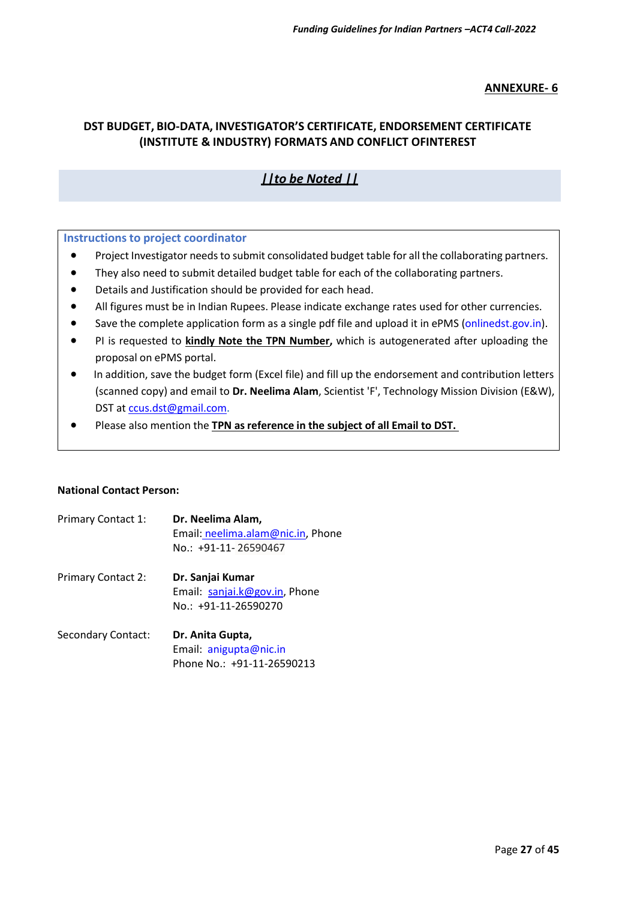#### **ANNEXURE- 6**

#### **DST BUDGET, BIO-DATA, INVESTIGATOR'S CERTIFICATE, ENDORSEMENT CERTIFICATE (INSTITUTE & INDUSTRY) FORMATS AND CONFLICT OFINTEREST**

### *||to be Noted ||*

#### **Instructionsto project coordinator**

- Project Investigator needs to submit consolidated budget table for all the collaborating partners.
- They also need to submit detailed budget table for each of the collaborating partners.
- Details and Justification should be provided for each head.
- All figures must be in Indian Rupees. Please indicate exchange rates used for other currencies.
- Save the complete application form as a single pdf file and upload it in ePMS (onlinedst.gov.in).
- PI is requested to **kindly Note the TPN Number,** which is autogenerated after uploading the proposal on ePMS portal.
- In addition, save the budget form (Excel file) and fill up the endorsement and contribution letters (scanned copy) and email to **Dr. Neelima Alam**, Scientist 'F', Technology Mission Division (E&W), DST at [ccus.dst@gmail.com.](mailto:ccus.dst@gmail.com)
- Please also mention the **TPN asreference in the subject of all Email to DST.**

#### **National Contact Person:**

| Primary Contact 1:        | Dr. Neelima Alam,<br>Email: neelima.alam@nic.in, Phone<br>No.: +91-11-26590467 |
|---------------------------|--------------------------------------------------------------------------------|
| <b>Primary Contact 2:</b> | Dr. Sanjai Kumar<br>Email: sanjai.k@gov.in, Phone<br>No.: +91-11-26590270      |
| <b>Secondary Contact:</b> | Dr. Anita Gupta,<br>Email: anigupta@nic.in<br>Phone No.: +91-11-26590213       |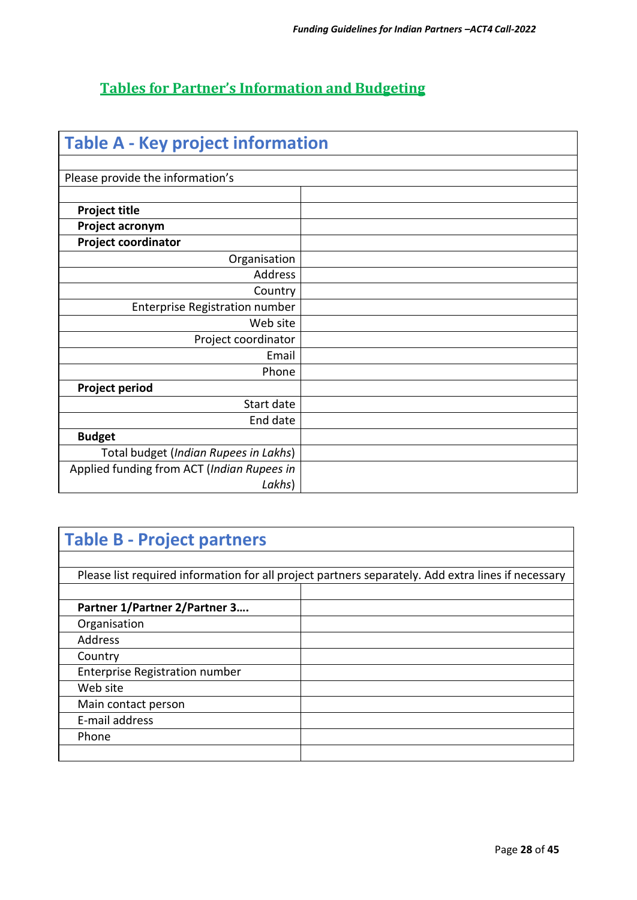## **Tables for Partner's Information and Budgeting**

| <b>Table A - Key project information</b>   |  |
|--------------------------------------------|--|
| Please provide the information's           |  |
|                                            |  |
| <b>Project title</b>                       |  |
| Project acronym                            |  |
| <b>Project coordinator</b>                 |  |
| Organisation                               |  |
| Address                                    |  |
| Country                                    |  |
| <b>Enterprise Registration number</b>      |  |
| Web site                                   |  |
| Project coordinator                        |  |
| Email                                      |  |
| Phone                                      |  |
| <b>Project period</b>                      |  |
| Start date                                 |  |
| End date                                   |  |
| <b>Budget</b>                              |  |
| Total budget (Indian Rupees in Lakhs)      |  |
| Applied funding from ACT (Indian Rupees in |  |
| Lakhs)                                     |  |

## **Table B - Project partners**

|                                       | Please list required information for all project partners separately. Add extra lines if necessary |
|---------------------------------------|----------------------------------------------------------------------------------------------------|
|                                       |                                                                                                    |
| Partner 1/Partner 2/Partner 3         |                                                                                                    |
| Organisation                          |                                                                                                    |
| Address                               |                                                                                                    |
| Country                               |                                                                                                    |
| <b>Enterprise Registration number</b> |                                                                                                    |
| Web site                              |                                                                                                    |
| Main contact person                   |                                                                                                    |
| E-mail address                        |                                                                                                    |
| Phone                                 |                                                                                                    |
|                                       |                                                                                                    |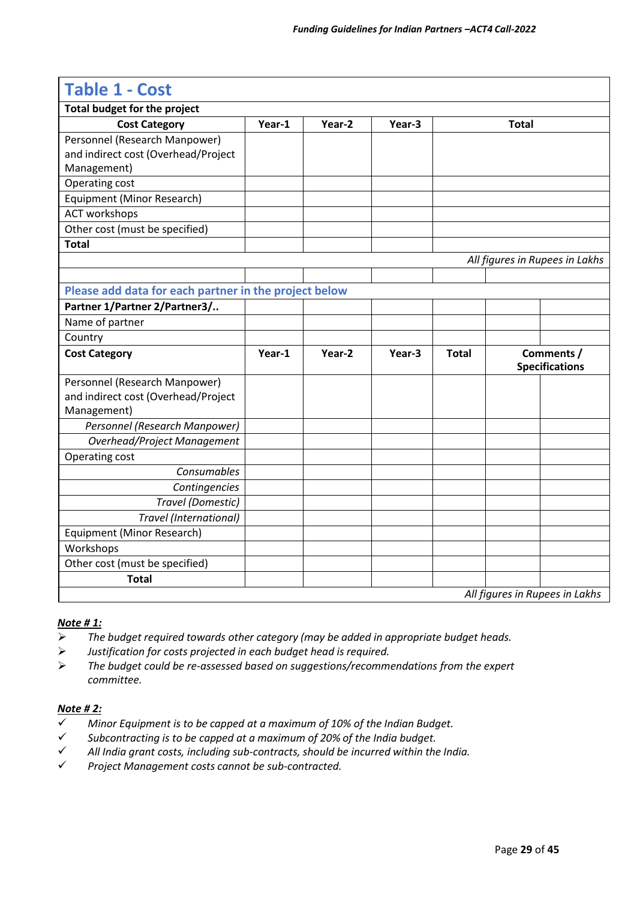| <b>Table 1 - Cost</b>                                 |        |        |        |              |              |                                     |
|-------------------------------------------------------|--------|--------|--------|--------------|--------------|-------------------------------------|
| <b>Total budget for the project</b>                   |        |        |        |              |              |                                     |
| <b>Cost Category</b>                                  | Year-1 | Year-2 | Year-3 |              | <b>Total</b> |                                     |
| Personnel (Research Manpower)                         |        |        |        |              |              |                                     |
| and indirect cost (Overhead/Project                   |        |        |        |              |              |                                     |
| Management)                                           |        |        |        |              |              |                                     |
| Operating cost                                        |        |        |        |              |              |                                     |
| Equipment (Minor Research)                            |        |        |        |              |              |                                     |
| <b>ACT workshops</b>                                  |        |        |        |              |              |                                     |
| Other cost (must be specified)                        |        |        |        |              |              |                                     |
| <b>Total</b>                                          |        |        |        |              |              |                                     |
|                                                       |        |        |        |              |              | All figures in Rupees in Lakhs      |
|                                                       |        |        |        |              |              |                                     |
| Please add data for each partner in the project below |        |        |        |              |              |                                     |
| Partner 1/Partner 2/Partner3/                         |        |        |        |              |              |                                     |
| Name of partner                                       |        |        |        |              |              |                                     |
| Country                                               |        |        |        |              |              |                                     |
| <b>Cost Category</b>                                  | Year-1 | Year-2 | Year-3 | <b>Total</b> |              | Comments /<br><b>Specifications</b> |
| Personnel (Research Manpower)                         |        |        |        |              |              |                                     |
| and indirect cost (Overhead/Project                   |        |        |        |              |              |                                     |
| Management)                                           |        |        |        |              |              |                                     |
| Personnel (Research Manpower)                         |        |        |        |              |              |                                     |
| <b>Overhead/Project Management</b>                    |        |        |        |              |              |                                     |
| Operating cost                                        |        |        |        |              |              |                                     |
| Consumables                                           |        |        |        |              |              |                                     |
| Contingencies                                         |        |        |        |              |              |                                     |
| Travel (Domestic)                                     |        |        |        |              |              |                                     |
| Travel (International)                                |        |        |        |              |              |                                     |
| Equipment (Minor Research)                            |        |        |        |              |              |                                     |
| Workshops                                             |        |        |        |              |              |                                     |
| Other cost (must be specified)                        |        |        |        |              |              |                                     |
| <b>Total</b>                                          |        |        |        |              |              |                                     |
|                                                       |        |        |        |              |              |                                     |

#### *Note # 1:*

- ➢ *The budget required towards other category (may be added in appropriate budget heads.*
- ➢ *Justification for costs projected in each budget head is required.*
- ➢ *The budget could be re-assessed based on suggestions/recommendations from the expert committee.*

#### *Note # 2:*

- ✓ *Minor Equipment is to be capped at a maximum of 10% of the Indian Budget.*
- ✓ *Subcontracting is to be capped at a maximum of 20% of the India budget.*
- ✓ *All India grant costs, including sub-contracts, should be incurred within the India.*
- ✓ *Project Management costs cannot be sub-contracted.*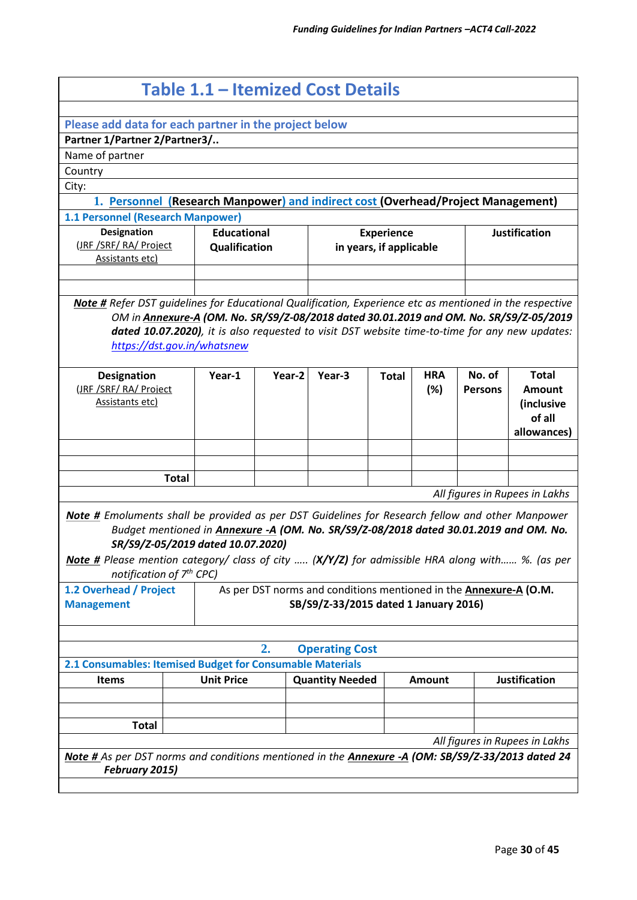|                                                                                                                                                                                                                                                                                            | Table 1.1 – Itemized Cost Details                                                                                                                                                        |                                     |                                                                                                                   |                                              |                   |                          |                                                                      |  |
|--------------------------------------------------------------------------------------------------------------------------------------------------------------------------------------------------------------------------------------------------------------------------------------------|------------------------------------------------------------------------------------------------------------------------------------------------------------------------------------------|-------------------------------------|-------------------------------------------------------------------------------------------------------------------|----------------------------------------------|-------------------|--------------------------|----------------------------------------------------------------------|--|
| Please add data for each partner in the project below                                                                                                                                                                                                                                      |                                                                                                                                                                                          |                                     |                                                                                                                   |                                              |                   |                          |                                                                      |  |
| Partner 1/Partner 2/Partner3/                                                                                                                                                                                                                                                              |                                                                                                                                                                                          |                                     |                                                                                                                   |                                              |                   |                          |                                                                      |  |
| Name of partner                                                                                                                                                                                                                                                                            |                                                                                                                                                                                          |                                     |                                                                                                                   |                                              |                   |                          |                                                                      |  |
| Country                                                                                                                                                                                                                                                                                    |                                                                                                                                                                                          |                                     |                                                                                                                   |                                              |                   |                          |                                                                      |  |
| City:                                                                                                                                                                                                                                                                                      |                                                                                                                                                                                          |                                     |                                                                                                                   |                                              |                   |                          |                                                                      |  |
| 1. Personnel (Research Manpower) and indirect cost (Overhead/Project Management)                                                                                                                                                                                                           |                                                                                                                                                                                          |                                     |                                                                                                                   |                                              |                   |                          |                                                                      |  |
| 1.1 Personnel (Research Manpower)                                                                                                                                                                                                                                                          |                                                                                                                                                                                          |                                     |                                                                                                                   |                                              |                   |                          |                                                                      |  |
| <b>Designation</b><br>(JRF /SRF/ RA/ Project<br><b>Assistants etc)</b>                                                                                                                                                                                                                     |                                                                                                                                                                                          | <b>Educational</b><br>Qualification |                                                                                                                   | <b>Experience</b><br>in years, if applicable |                   |                          | <b>Justification</b>                                                 |  |
| Note # Refer DST guidelines for Educational Qualification, Experience etc as mentioned in the respective<br>https://dst.gov.in/whatsnew                                                                                                                                                    | OM in Annexure-A (OM. No. SR/S9/Z-08/2018 dated 30.01.2019 and OM. No. SR/S9/Z-05/2019<br>dated 10.07.2020), it is also requested to visit DST website time-to-time for any new updates: |                                     |                                                                                                                   |                                              |                   |                          |                                                                      |  |
| <b>Designation</b><br>(JRF /SRF/ RA/ Project<br><b>Assistants etc)</b>                                                                                                                                                                                                                     | Year-1                                                                                                                                                                                   | Year-2                              | Year-3                                                                                                            | <b>Total</b>                                 | <b>HRA</b><br>(%) | No. of<br><b>Persons</b> | <b>Total</b><br><b>Amount</b><br>(inclusive<br>of all<br>allowances) |  |
| <b>Total</b>                                                                                                                                                                                                                                                                               |                                                                                                                                                                                          |                                     |                                                                                                                   |                                              |                   |                          | All figures in Rupees in Lakhs                                       |  |
| Note # Emoluments shall be provided as per DST Guidelines for Research fellow and other Manpower<br>Note # Please mention category/ class of city  (X/Y/Z) for admissible HRA along with %. (as per<br>notification of 7 <sup>th</sup> CPC)<br>1.2 Overhead / Project<br><b>Management</b> | Budget mentioned in Annexure -A (OM. No. SR/S9/Z-08/2018 dated 30.01.2019 and OM. No.<br>SR/S9/Z-05/2019 dated 10.07.2020)                                                               |                                     | As per DST norms and conditions mentioned in the <b>Annexure-A (O.M.</b><br>SB/S9/Z-33/2015 dated 1 January 2016) |                                              |                   |                          |                                                                      |  |
|                                                                                                                                                                                                                                                                                            |                                                                                                                                                                                          | 2.                                  | <b>Operating Cost</b>                                                                                             |                                              |                   |                          |                                                                      |  |
| 2.1 Consumables: Itemised Budget for Consumable Materials                                                                                                                                                                                                                                  |                                                                                                                                                                                          |                                     |                                                                                                                   |                                              |                   |                          |                                                                      |  |
| <b>Items</b>                                                                                                                                                                                                                                                                               | <b>Unit Price</b>                                                                                                                                                                        |                                     | <b>Quantity Needed</b>                                                                                            |                                              | <b>Amount</b>     |                          | <b>Justification</b>                                                 |  |
| <b>Total</b>                                                                                                                                                                                                                                                                               |                                                                                                                                                                                          |                                     |                                                                                                                   |                                              |                   |                          | All figures in Rupees in Lakhs                                       |  |
| Note # As per DST norms and conditions mentioned in the Annexure -A (OM: SB/S9/Z-33/2013 dated 24<br>February 2015)                                                                                                                                                                        |                                                                                                                                                                                          |                                     |                                                                                                                   |                                              |                   |                          |                                                                      |  |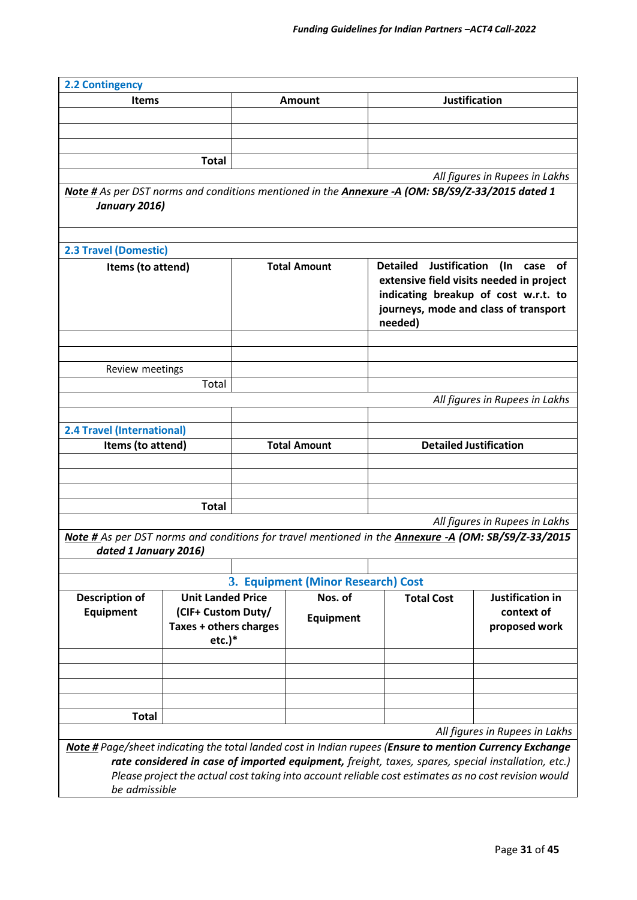| <b>2.2 Contingency</b>            |                                                           |                     |                                                                                                     |                                                                                                          |                                                                                                                                             |  |
|-----------------------------------|-----------------------------------------------------------|---------------------|-----------------------------------------------------------------------------------------------------|----------------------------------------------------------------------------------------------------------|---------------------------------------------------------------------------------------------------------------------------------------------|--|
| <b>Items</b>                      |                                                           |                     | Amount                                                                                              |                                                                                                          | Justification                                                                                                                               |  |
|                                   |                                                           |                     |                                                                                                     |                                                                                                          |                                                                                                                                             |  |
|                                   |                                                           |                     |                                                                                                     |                                                                                                          |                                                                                                                                             |  |
|                                   |                                                           |                     |                                                                                                     |                                                                                                          |                                                                                                                                             |  |
|                                   | <b>Total</b>                                              |                     |                                                                                                     |                                                                                                          |                                                                                                                                             |  |
| January 2016)                     |                                                           |                     |                                                                                                     | Note # As per DST norms and conditions mentioned in the Annexure -A (OM: SB/S9/Z-33/2015 dated 1         | All figures in Rupees in Lakhs                                                                                                              |  |
| <b>2.3 Travel (Domestic)</b>      |                                                           |                     |                                                                                                     |                                                                                                          |                                                                                                                                             |  |
| Items (to attend)                 |                                                           |                     | <b>Total Amount</b>                                                                                 | <b>Justification</b><br><b>Detailed</b><br>needed)                                                       | (In case<br>of<br>extensive field visits needed in project<br>indicating breakup of cost w.r.t. to<br>journeys, mode and class of transport |  |
| Review meetings                   |                                                           |                     |                                                                                                     |                                                                                                          |                                                                                                                                             |  |
|                                   | Total                                                     |                     |                                                                                                     |                                                                                                          |                                                                                                                                             |  |
|                                   |                                                           |                     |                                                                                                     |                                                                                                          | All figures in Rupees in Lakhs                                                                                                              |  |
|                                   |                                                           |                     |                                                                                                     |                                                                                                          |                                                                                                                                             |  |
| <b>2.4 Travel (International)</b> |                                                           |                     |                                                                                                     |                                                                                                          |                                                                                                                                             |  |
| Items (to attend)                 |                                                           | <b>Total Amount</b> |                                                                                                     | <b>Detailed Justification</b>                                                                            |                                                                                                                                             |  |
|                                   |                                                           |                     |                                                                                                     |                                                                                                          |                                                                                                                                             |  |
|                                   |                                                           |                     |                                                                                                     |                                                                                                          |                                                                                                                                             |  |
|                                   | <b>Total</b>                                              |                     |                                                                                                     |                                                                                                          |                                                                                                                                             |  |
|                                   |                                                           |                     |                                                                                                     |                                                                                                          | All figures in Rupees in Lakhs                                                                                                              |  |
|                                   |                                                           |                     | Note # As per DST norms and conditions for travel mentioned in the Annexure -A (OM: SB/S9/Z-33/2015 |                                                                                                          |                                                                                                                                             |  |
| dated 1 January 2016)             |                                                           |                     |                                                                                                     |                                                                                                          |                                                                                                                                             |  |
|                                   |                                                           |                     |                                                                                                     |                                                                                                          |                                                                                                                                             |  |
|                                   |                                                           |                     | 3. Equipment (Minor Research) Cost                                                                  |                                                                                                          |                                                                                                                                             |  |
| <b>Description of</b>             | <b>Unit Landed Price</b>                                  |                     | Nos. of                                                                                             | <b>Total Cost</b>                                                                                        | Justification in                                                                                                                            |  |
| Equipment                         | (CIF+ Custom Duty/<br>Taxes + others charges<br>$etc.$ )* |                     | <b>Equipment</b>                                                                                    |                                                                                                          | context of<br>proposed work                                                                                                                 |  |
|                                   |                                                           |                     |                                                                                                     |                                                                                                          |                                                                                                                                             |  |
|                                   |                                                           |                     |                                                                                                     |                                                                                                          |                                                                                                                                             |  |
|                                   |                                                           |                     |                                                                                                     |                                                                                                          |                                                                                                                                             |  |
|                                   |                                                           |                     |                                                                                                     |                                                                                                          |                                                                                                                                             |  |
| <b>Total</b>                      |                                                           |                     |                                                                                                     |                                                                                                          | All figures in Rupees in Lakhs                                                                                                              |  |
|                                   |                                                           |                     |                                                                                                     | Note # Page/sheet indicating the total landed cost in Indian rupees (Ensure to mention Currency Exchange |                                                                                                                                             |  |
|                                   |                                                           |                     |                                                                                                     | rate considered in case of imported equipment, freight, taxes, spares, special installation, etc.)       |                                                                                                                                             |  |
|                                   |                                                           |                     |                                                                                                     | Please project the actual cost taking into account reliable cost estimates as no cost revision would     |                                                                                                                                             |  |
| be admissible                     |                                                           |                     |                                                                                                     |                                                                                                          |                                                                                                                                             |  |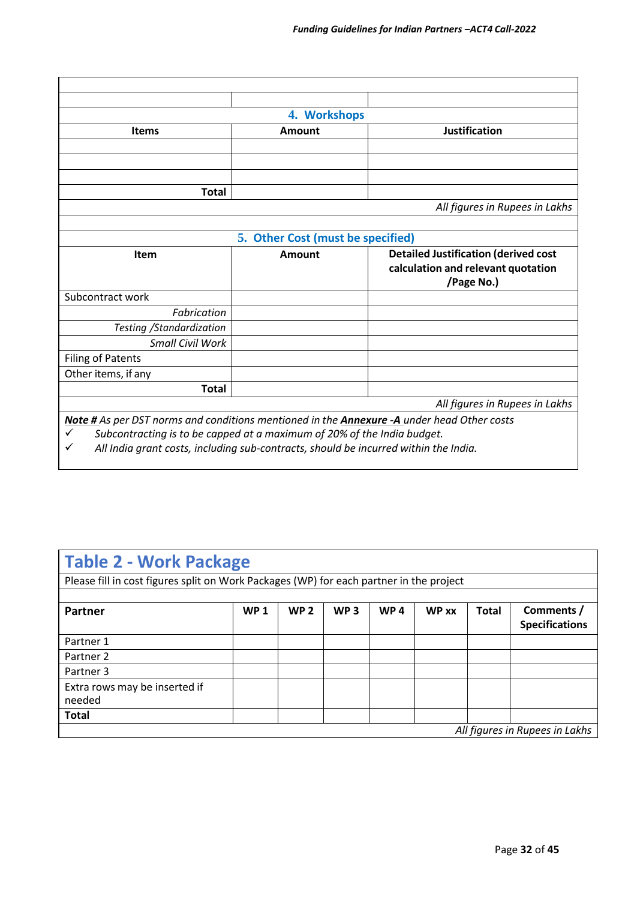|                           | 4. Workshops                      |                                             |
|---------------------------|-----------------------------------|---------------------------------------------|
| <b>Items</b>              | Amount                            | <b>Justification</b>                        |
|                           |                                   |                                             |
|                           |                                   |                                             |
|                           |                                   |                                             |
| <b>Total</b>              |                                   |                                             |
|                           |                                   | All figures in Rupees in Lakhs              |
|                           |                                   |                                             |
|                           | 5. Other Cost (must be specified) |                                             |
|                           |                                   |                                             |
| <b>Item</b>               | <b>Amount</b>                     | <b>Detailed Justification (derived cost</b> |
|                           |                                   | calculation and relevant quotation          |
|                           |                                   | /Page No.)                                  |
| Subcontract work          |                                   |                                             |
| Fabrication               |                                   |                                             |
| Testing / Standardization |                                   |                                             |
| Small Civil Work          |                                   |                                             |
| <b>Filing of Patents</b>  |                                   |                                             |
| Other items, if any       |                                   |                                             |
| <b>Total</b>              |                                   |                                             |
|                           |                                   | All figures in Rupees in Lakhs              |

*Note # As per DST norms and conditions mentioned in the Annexure -A under head Other costs*

✓ *Subcontracting is to be capped at a maximum of 20% of the India budget.*

✓ *All India grant costs, including sub-contracts, should be incurred within the India.*

## **Table 2 - Work Package**

Please fill in cost figures split on Work Packages (WP) for each partner in the project

| <b>Partner</b>                          | <b>WP1</b> | WP <sub>2</sub> | WP <sub>3</sub> | WP <sub>4</sub> | <b>WP</b> xx | <b>Total</b> | Comments /<br><b>Specifications</b> |
|-----------------------------------------|------------|-----------------|-----------------|-----------------|--------------|--------------|-------------------------------------|
| Partner 1                               |            |                 |                 |                 |              |              |                                     |
| Partner 2                               |            |                 |                 |                 |              |              |                                     |
| Partner 3                               |            |                 |                 |                 |              |              |                                     |
| Extra rows may be inserted if<br>needed |            |                 |                 |                 |              |              |                                     |
| <b>Total</b>                            |            |                 |                 |                 |              |              |                                     |
|                                         |            |                 |                 |                 |              |              | All figures in Rupees in Lakhs      |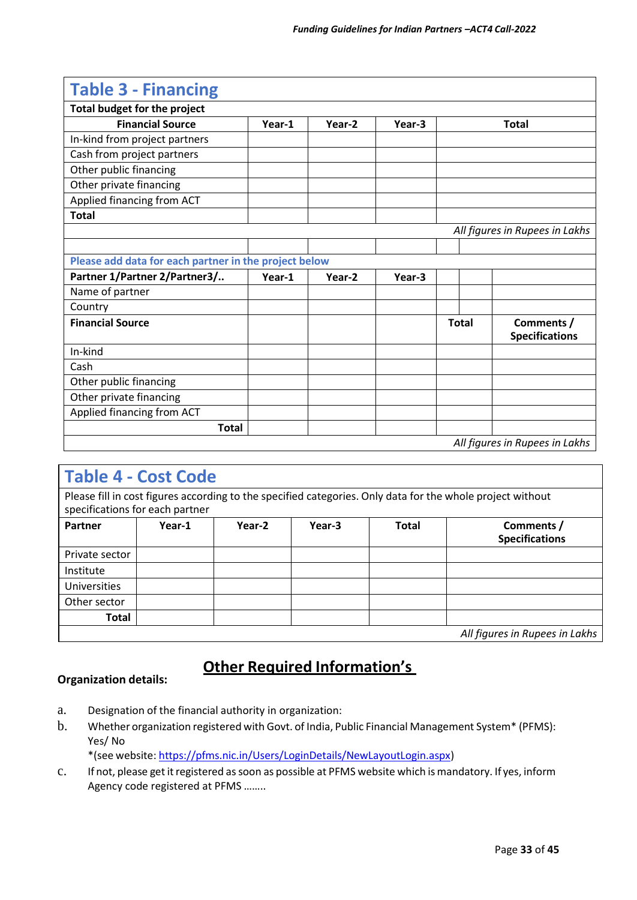| <b>Table 3 - Financing</b>                            |        |        |        |                                                     |                                |
|-------------------------------------------------------|--------|--------|--------|-----------------------------------------------------|--------------------------------|
| <b>Total budget for the project</b>                   |        |        |        |                                                     |                                |
| <b>Financial Source</b>                               | Year-1 | Year-2 | Year-3 |                                                     | <b>Total</b>                   |
| In-kind from project partners                         |        |        |        |                                                     |                                |
| Cash from project partners                            |        |        |        |                                                     |                                |
| Other public financing                                |        |        |        |                                                     |                                |
| Other private financing                               |        |        |        |                                                     |                                |
| Applied financing from ACT                            |        |        |        |                                                     |                                |
| <b>Total</b>                                          |        |        |        |                                                     |                                |
|                                                       |        |        |        |                                                     | All figures in Rupees in Lakhs |
|                                                       |        |        |        |                                                     |                                |
| Please add data for each partner in the project below |        |        |        |                                                     |                                |
| Partner 1/Partner 2/Partner3/                         | Year-1 | Year-2 | Year-3 |                                                     |                                |
| Name of partner                                       |        |        |        |                                                     |                                |
| Country                                               |        |        |        |                                                     |                                |
| <b>Financial Source</b>                               |        |        |        | Comments /<br><b>Total</b><br><b>Specifications</b> |                                |
| In-kind                                               |        |        |        |                                                     |                                |
| Cash                                                  |        |        |        |                                                     |                                |
| Other public financing                                |        |        |        |                                                     |                                |
| Other private financing                               |        |        |        |                                                     |                                |
| Applied financing from ACT                            |        |        |        |                                                     |                                |
| <b>Total</b>                                          |        |        |        |                                                     |                                |
|                                                       |        |        |        |                                                     | All figures in Rupees in Lakhs |

## **Table 4 - Cost Code**

Please fill in cost figures according to the specified categories. Only data for the whole project without specifications for each partner

| Partner        | Year-1 | Year-2 | Year-3 | <b>Total</b> | Comments /<br><b>Specifications</b> |
|----------------|--------|--------|--------|--------------|-------------------------------------|
| Private sector |        |        |        |              |                                     |
| Institute      |        |        |        |              |                                     |
| Universities   |        |        |        |              |                                     |
| Other sector   |        |        |        |              |                                     |
| <b>Total</b>   |        |        |        |              |                                     |
|                |        |        |        |              | All figures in Rupees in Lakhs      |

## **Other Required Information's**

#### **Organization details:**

- a. Designation of the financial authority in organization:
- b. Whether organization registered with Govt. of India, Public Financial Management System\* (PFMS): Yes/ No

\*(see website: [https://pfms.nic.in/Users/LoginDetails/NewLayoutLogin.aspx\)](https://pfms.nic.in/Users/LoginDetails/NewLayoutLogin.aspx)

c. If not, please get it registered as soon as possible at PFMS website which is mandatory. If yes, inform Agency code registered at PFMS ……..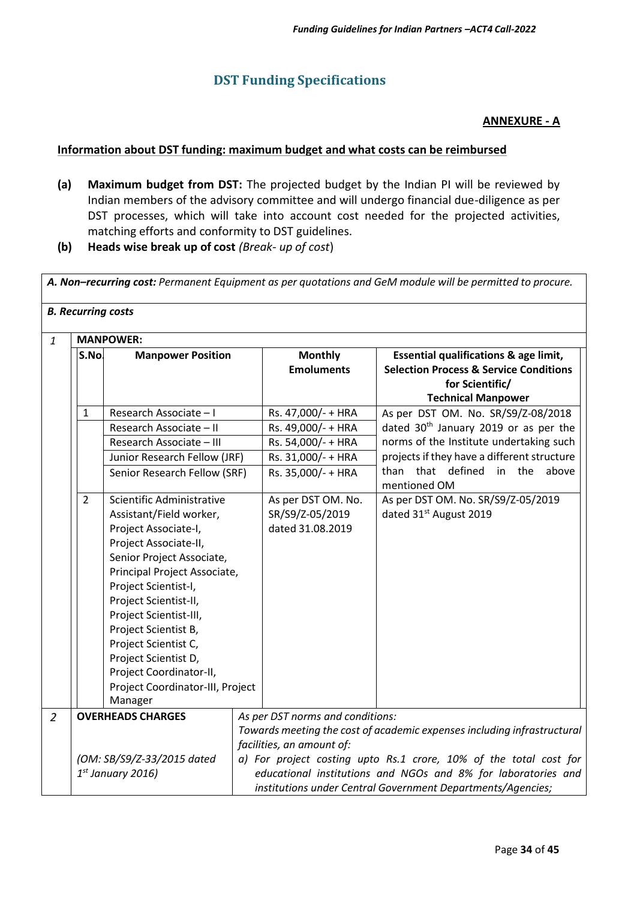## **DST Funding Specifications**

#### **ANNEXURE - A**

#### **Information about DST funding: maximum budget and what costs can be reimbursed**

- **(a) Maximum budget from DST:** The projected budget by the Indian PI will be reviewed by Indian members of the advisory committee and will undergo financial due-diligence as per DST processes, which will take into account cost needed for the projected activities, matching efforts and conformity to DST guidelines.
- **(b) Heads wise break up of cost** *(Break- up of cost*)

A. Non-recurring cost: Permanent Equipment as per quotations and GeM module will be permitted to procure.

| S.No.                    | <b>Manpower Position</b>                                                                                                                                           |                                  | <b>MANPOWER:</b>                                                        |                                                                                                                                            |  |  |  |  |  |
|--------------------------|--------------------------------------------------------------------------------------------------------------------------------------------------------------------|----------------------------------|-------------------------------------------------------------------------|--------------------------------------------------------------------------------------------------------------------------------------------|--|--|--|--|--|
|                          |                                                                                                                                                                    |                                  | <b>Monthly</b><br><b>Emoluments</b>                                     | Essential qualifications & age limit,<br><b>Selection Process &amp; Service Conditions</b><br>for Scientific/<br><b>Technical Manpower</b> |  |  |  |  |  |
| $\mathbf{1}$             | Research Associate - I                                                                                                                                             |                                  | Rs. 47,000/- + HRA                                                      | As per DST OM. No. SR/S9/Z-08/2018                                                                                                         |  |  |  |  |  |
|                          | Research Associate - II                                                                                                                                            |                                  | Rs. 49,000/- + HRA                                                      | dated 30 <sup>th</sup> January 2019 or as per the                                                                                          |  |  |  |  |  |
|                          | Research Associate - III                                                                                                                                           |                                  | Rs. 54,000/- + HRA                                                      | norms of the Institute undertaking such                                                                                                    |  |  |  |  |  |
|                          | Junior Research Fellow (JRF)                                                                                                                                       |                                  | Rs. 31,000/- + HRA                                                      | projects if they have a different structure                                                                                                |  |  |  |  |  |
|                          | Senior Research Fellow (SRF)                                                                                                                                       |                                  | Rs. 35,000/- + HRA                                                      | that defined<br>in the<br>above<br>than<br>mentioned OM                                                                                    |  |  |  |  |  |
| $\overline{2}$           | Scientific Administrative<br>Assistant/Field worker,<br>Project Associate-I,<br>Project Associate-II,<br>Senior Project Associate,<br>Principal Project Associate, |                                  | As per DST OM. No.                                                      | As per DST OM. No. SR/S9/Z-05/2019                                                                                                         |  |  |  |  |  |
|                          |                                                                                                                                                                    |                                  | SR/S9/Z-05/2019                                                         | dated 31 <sup>st</sup> August 2019                                                                                                         |  |  |  |  |  |
|                          |                                                                                                                                                                    |                                  | dated 31.08.2019                                                        |                                                                                                                                            |  |  |  |  |  |
|                          |                                                                                                                                                                    |                                  |                                                                         |                                                                                                                                            |  |  |  |  |  |
|                          |                                                                                                                                                                    |                                  |                                                                         |                                                                                                                                            |  |  |  |  |  |
|                          |                                                                                                                                                                    |                                  |                                                                         |                                                                                                                                            |  |  |  |  |  |
|                          | Project Scientist-I,                                                                                                                                               |                                  |                                                                         |                                                                                                                                            |  |  |  |  |  |
|                          | Project Scientist-II,                                                                                                                                              |                                  |                                                                         |                                                                                                                                            |  |  |  |  |  |
|                          | Project Scientist-III,                                                                                                                                             |                                  |                                                                         |                                                                                                                                            |  |  |  |  |  |
|                          | Project Scientist B,                                                                                                                                               |                                  |                                                                         |                                                                                                                                            |  |  |  |  |  |
|                          | Project Scientist C,                                                                                                                                               |                                  |                                                                         |                                                                                                                                            |  |  |  |  |  |
|                          | Project Scientist D,                                                                                                                                               |                                  |                                                                         |                                                                                                                                            |  |  |  |  |  |
|                          | Project Coordinator-II,                                                                                                                                            |                                  |                                                                         |                                                                                                                                            |  |  |  |  |  |
|                          | Project Coordinator-III, Project                                                                                                                                   |                                  |                                                                         |                                                                                                                                            |  |  |  |  |  |
|                          | Manager                                                                                                                                                            |                                  |                                                                         |                                                                                                                                            |  |  |  |  |  |
| <b>OVERHEADS CHARGES</b> |                                                                                                                                                                    | As per DST norms and conditions: |                                                                         |                                                                                                                                            |  |  |  |  |  |
|                          |                                                                                                                                                                    |                                  | Towards meeting the cost of academic expenses including infrastructural |                                                                                                                                            |  |  |  |  |  |
|                          |                                                                                                                                                                    |                                  | facilities, an amount of:                                               |                                                                                                                                            |  |  |  |  |  |
|                          | (OM: SB/S9/Z-33/2015 dated                                                                                                                                         |                                  |                                                                         | a) For project costing upto Rs.1 crore, 10% of the total cost for                                                                          |  |  |  |  |  |
|                          | $1st$ January 2016)                                                                                                                                                |                                  |                                                                         | educational institutions and NGOs and 8% for laboratories and<br>institutions under Central Government Departments/Agencies;               |  |  |  |  |  |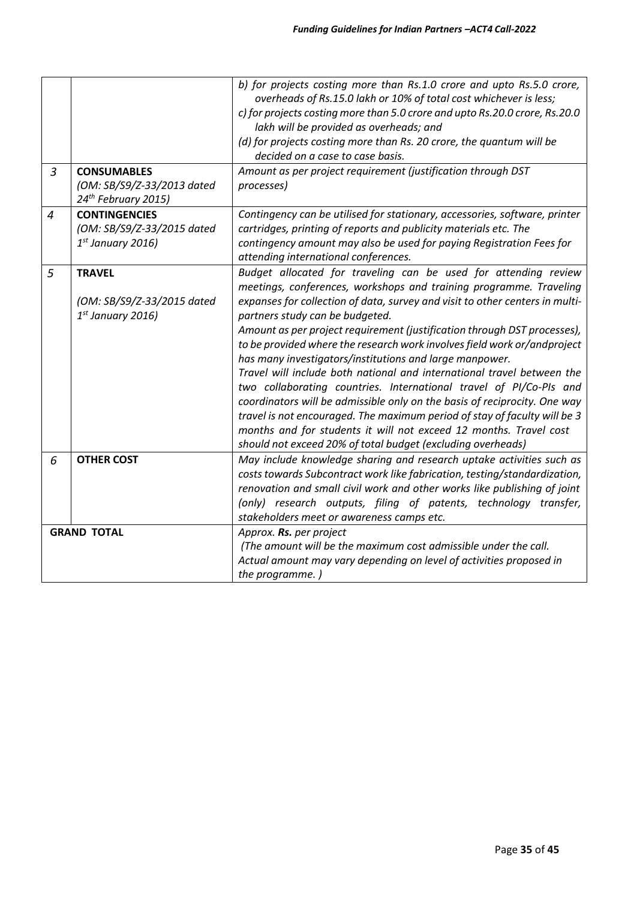|                |                                                                                     | b) for projects costing more than Rs.1.0 crore and upto Rs.5.0 crore,<br>overheads of Rs.15.0 lakh or 10% of total cost whichever is less;<br>c) for projects costing more than 5.0 crore and upto Rs.20.0 crore, Rs.20.0<br>lakh will be provided as overheads; and<br>(d) for projects costing more than Rs. 20 crore, the quantum will be<br>decided on a case to case basis.                                                                                                                                                                                                                                                                                                                                                                                                                                                                                                                                          |
|----------------|-------------------------------------------------------------------------------------|---------------------------------------------------------------------------------------------------------------------------------------------------------------------------------------------------------------------------------------------------------------------------------------------------------------------------------------------------------------------------------------------------------------------------------------------------------------------------------------------------------------------------------------------------------------------------------------------------------------------------------------------------------------------------------------------------------------------------------------------------------------------------------------------------------------------------------------------------------------------------------------------------------------------------|
| $\overline{3}$ | <b>CONSUMABLES</b><br>(OM: SB/S9/Z-33/2013 dated<br>24 <sup>th</sup> February 2015) | Amount as per project requirement (justification through DST<br>processes)                                                                                                                                                                                                                                                                                                                                                                                                                                                                                                                                                                                                                                                                                                                                                                                                                                                |
| $\overline{4}$ | <b>CONTINGENCIES</b><br>(OM: SB/S9/Z-33/2015 dated<br>$1st$ January 2016)           | Contingency can be utilised for stationary, accessories, software, printer<br>cartridges, printing of reports and publicity materials etc. The<br>contingency amount may also be used for paying Registration Fees for<br>attending international conferences.                                                                                                                                                                                                                                                                                                                                                                                                                                                                                                                                                                                                                                                            |
| 5              | <b>TRAVEL</b><br>(OM: SB/S9/Z-33/2015 dated<br>$1st$ January 2016)                  | Budget allocated for traveling can be used for attending review<br>meetings, conferences, workshops and training programme. Traveling<br>expanses for collection of data, survey and visit to other centers in multi-<br>partners study can be budgeted.<br>Amount as per project requirement (justification through DST processes),<br>to be provided where the research work involves field work or/andproject<br>has many investigators/institutions and large manpower.<br>Travel will include both national and international travel between the<br>two collaborating countries. International travel of PI/Co-PIs and<br>coordinators will be admissible only on the basis of reciprocity. One way<br>travel is not encouraged. The maximum period of stay of faculty will be 3<br>months and for students it will not exceed 12 months. Travel cost<br>should not exceed 20% of total budget (excluding overheads) |
| 6              | <b>OTHER COST</b>                                                                   | May include knowledge sharing and research uptake activities such as<br>costs towards Subcontract work like fabrication, testing/standardization,<br>renovation and small civil work and other works like publishing of joint<br>(only) research outputs, filing of patents, technology transfer,<br>stakeholders meet or awareness camps etc.                                                                                                                                                                                                                                                                                                                                                                                                                                                                                                                                                                            |
|                | <b>GRAND TOTAL</b>                                                                  | Approx. Rs. per project<br>(The amount will be the maximum cost admissible under the call.<br>Actual amount may vary depending on level of activities proposed in<br>the programme.)                                                                                                                                                                                                                                                                                                                                                                                                                                                                                                                                                                                                                                                                                                                                      |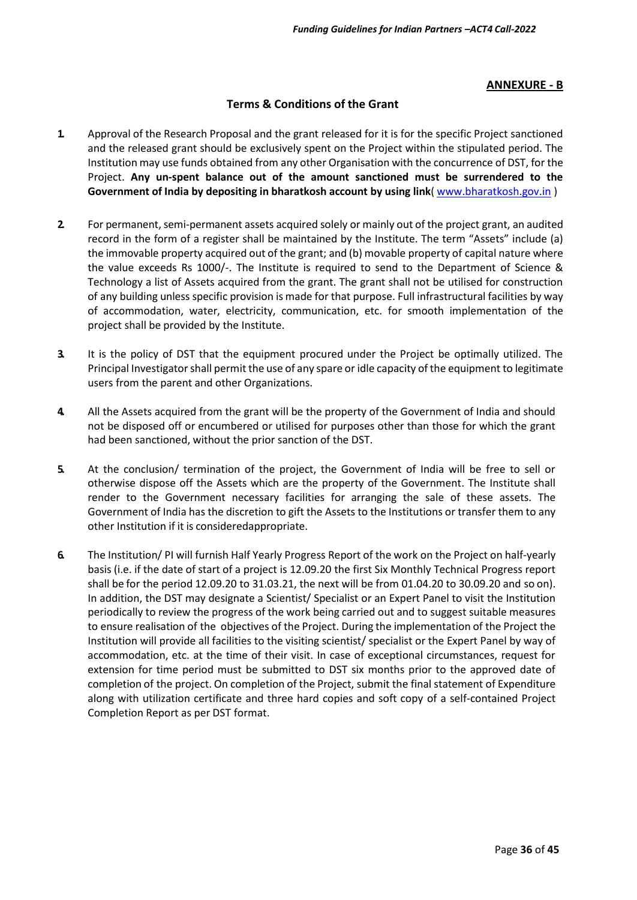#### **ANNEXURE - B**

#### **Terms & Conditions of the Grant**

- **1.** Approval of the Research Proposal and the grant released for it is for the specific Project sanctioned and the released grant should be exclusively spent on the Project within the stipulated period. The Institution may use funds obtained from any other Organisation with the concurrence of DST, for the Project. **Any un-spent balance out of the amount sanctioned must be surrendered to the Government of India by depositing in bharatkosh account by using link**( [www.bharatkosh.gov.in](http://www.bharatkosh.gov.in/) )
- **2.** For permanent, semi-permanent assets acquired solely or mainly out of the project grant, an audited record in the form of a register shall be maintained by the Institute. The term "Assets" include (a) the immovable property acquired out of the grant; and (b) movable property of capital nature where the value exceeds Rs 1000/-. The Institute is required to send to the Department of Science & Technology a list of Assets acquired from the grant. The grant shall not be utilised for construction of any building unless specific provision is made for that purpose. Full infrastructural facilities by way of accommodation, water, electricity, communication, etc. for smooth implementation of the project shall be provided by the Institute.
- **3.** It is the policy of DST that the equipment procured under the Project be optimally utilized. The Principal Investigator shall permit the use of any spare or idle capacity of the equipment to legitimate users from the parent and other Organizations.
- **4.** All the Assets acquired from the grant will be the property of the Government of India and should not be disposed off or encumbered or utilised for purposes other than those for which the grant had been sanctioned, without the prior sanction of the DST.
- **5.** At the conclusion/ termination of the project, the Government of India will be free to sell or otherwise dispose off the Assets which are the property of the Government. The Institute shall render to the Government necessary facilities for arranging the sale of these assets. The Government of India has the discretion to gift the Assets to the Institutions or transfer them to any other Institution if it is consideredappropriate.
- **6.** The Institution/ PI will furnish Half Yearly Progress Report of the work on the Project on half-yearly basis (i.e. if the date of start of a project is 12.09.20 the first Six Monthly Technical Progress report shall be for the period 12.09.20 to 31.03.21, the next will be from 01.04.20 to 30.09.20 and so on). In addition, the DST may designate a Scientist/ Specialist or an Expert Panel to visit the Institution periodically to review the progress of the work being carried out and to suggest suitable measures to ensure realisation of the objectives of the Project. During the implementation of the Project the Institution will provide all facilities to the visiting scientist/ specialist or the Expert Panel by way of accommodation, etc. at the time of their visit. In case of exceptional circumstances, request for extension for time period must be submitted to DST six months prior to the approved date of completion of the project. On completion of the Project, submit the final statement of Expenditure along with utilization certificate and three hard copies and soft copy of a self-contained Project Completion Report as per DST format.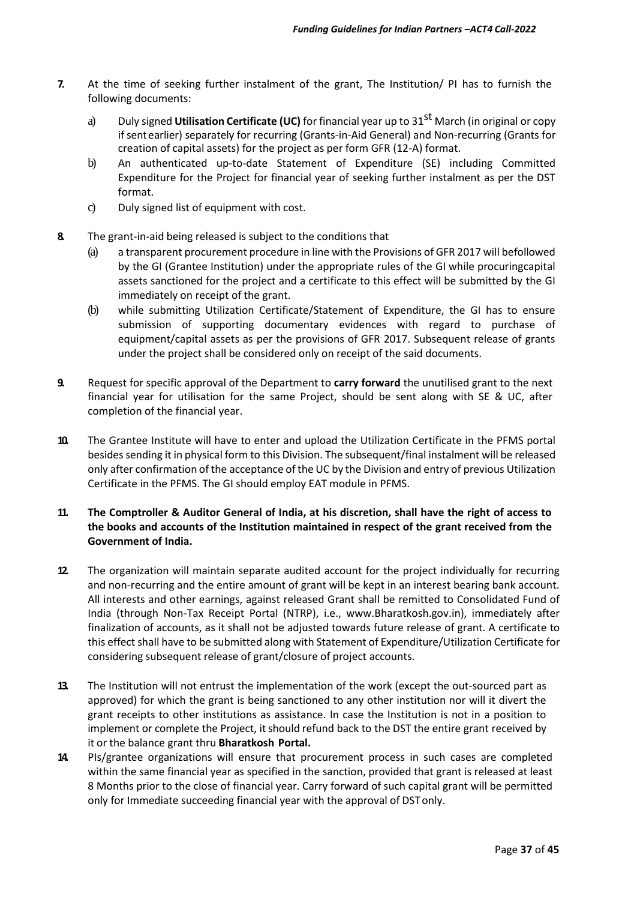- **7.** At the time of seeking further instalment of the grant, The Institution/ PI has to furnish the following documents:
	- a) Duly signed **Utilisation Certificate (UC)** for financial year up to 31st March (in original or copy if sent earlier) separately for recurring (Grants-in-Aid General) and Non-recurring (Grants for creation of capital assets) for the project as per form GFR (12-A) format.
	- b) An authenticated up-to-date Statement of Expenditure (SE) including Committed Expenditure for the Project for financial year of seeking further instalment as per the DST format.
	- c) Duly signed list of equipment with cost.
- **8.** The grant-in-aid being released is subject to the conditions that
	- (a) a transparent procurement procedure in line with the Provisions of GFR 2017 will befollowed by the GI (Grantee Institution) under the appropriate rules of the GI while procuringcapital assets sanctioned for the project and a certificate to this effect will be submitted by the GI immediately on receipt of the grant.
	- (b) while submitting Utilization Certificate/Statement of Expenditure, the GI has to ensure submission of supporting documentary evidences with regard to purchase of equipment/capital assets as per the provisions of GFR 2017. Subsequent release of grants under the project shall be considered only on receipt of the said documents.
- **9.** Request for specific approval of the Department to **carry forward** the unutilised grant to the next financial year for utilisation for the same Project, should be sent along with SE & UC, after completion of the financial year.
- **10.** The Grantee Institute will have to enter and upload the Utilization Certificate in the PFMS portal besides sending it in physical form to this Division. The subsequent/final instalment will be released only after confirmation of the acceptance of the UC by the Division and entry of previous Utilization Certificate in the PFMS. The GI should employ EAT module in PFMS.
- **11. The Comptroller & Auditor General of India, at his discretion, shall have the right of access to the books and accounts of the Institution maintained in respect of the grant received from the Government of India.**
- **12.** The organization will maintain separate audited account for the project individually for recurring and non-recurring and the entire amount of grant will be kept in an interest bearing bank account. All interests and other earnings, against released Grant shall be remitted to Consolidated Fund of India (through Non-Tax Receipt Portal (NTRP), i.e., www.Bharatkosh.gov.in), immediately after finalization of accounts, as it shall not be adjusted towards future release of grant. A certificate to this effect shall have to be submitted along with Statement of Expenditure/Utilization Certificate for considering subsequent release of grant/closure of project accounts.
- **13.** The Institution will not entrust the implementation of the work (except the out-sourced part as approved) for which the grant is being sanctioned to any other institution nor will it divert the grant receipts to other institutions as assistance. In case the Institution is not in a position to implement or complete the Project, it should refund back to the DST the entire grant received by it or the balance grant thru **Bharatkosh Portal.**
- **14.** PIs/grantee organizations will ensure that procurement process in such cases are completed within the same financial year as specified in the sanction, provided that grant is released at least 8 Months prior to the close of financial year. Carry forward of such capital grant will be permitted only for Immediate succeeding financial year with the approval of DSTonly.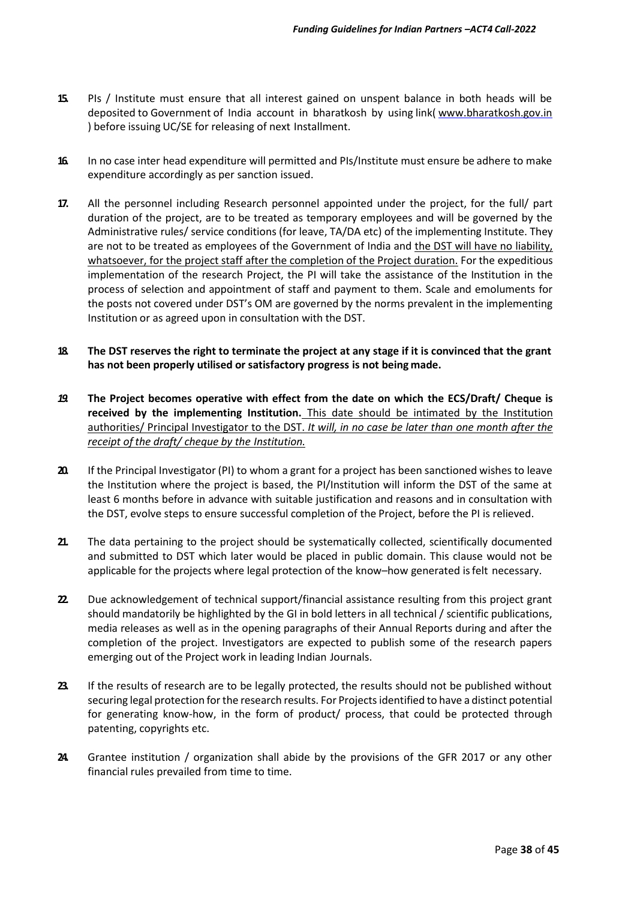- **15.** PIs / Institute must ensure that all interest gained on unspent balance in both heads will be deposited to Government of India account in bharatkosh by using link( [www.bharatkosh.gov.in](http://www.bharatkosh.gov.in/) ) before issuing UC/SE for releasing of next Installment.
- **16.** In no case inter head expenditure will permitted and PIs/Institute must ensure be adhere to make expenditure accordingly as per sanction issued.
- **17.** All the personnel including Research personnel appointed under the project, for the full/ part duration of the project, are to be treated as temporary employees and will be governed by the Administrative rules/ service conditions (for leave, TA/DA etc) of the implementing Institute. They are not to be treated as employees of the Government of India and the DST will have no liability, whatsoever, for the project staff after the completion of the Project duration. For the expeditious implementation of the research Project, the PI will take the assistance of the Institution in the process of selection and appointment of staff and payment to them. Scale and emoluments for the posts not covered under DST's OM are governed by the norms prevalent in the implementing Institution or as agreed upon in consultation with the DST.
- **18. The DST reserves the right to terminate the project at any stage if it is convinced that the grant has not been properly utilised or satisfactory progress is not being made.**
- *19.* **The Project becomes operative with effect from the date on which the ECS/Draft/ Cheque is received by the implementing Institution.** This date should be intimated by the Institution authorities/ Principal Investigator to the DST. *It will, in no case be later than one month after the receipt of the draft/ cheque by the Institution.*
- **20.** If the Principal Investigator (PI) to whom a grant for a project has been sanctioned wishes to leave the Institution where the project is based, the PI/Institution will inform the DST of the same at least 6 months before in advance with suitable justification and reasons and in consultation with the DST, evolve steps to ensure successful completion of the Project, before the PI is relieved.
- **21.** The data pertaining to the project should be systematically collected, scientifically documented and submitted to DST which later would be placed in public domain. This clause would not be applicable for the projects where legal protection of the know–how generated isfelt necessary.
- **22.** Due acknowledgement of technical support/financial assistance resulting from this project grant should mandatorily be highlighted by the GI in bold letters in all technical / scientific publications, media releases as well as in the opening paragraphs of their Annual Reports during and after the completion of the project. Investigators are expected to publish some of the research papers emerging out of the Project work in leading Indian Journals.
- **23.** If the results of research are to be legally protected, the results should not be published without securing legal protection for the research results. For Projects identified to have a distinct potential for generating know-how, in the form of product/ process, that could be protected through patenting, copyrights etc.
- **24.** Grantee institution / organization shall abide by the provisions of the GFR 2017 or any other financial rules prevailed from time to time.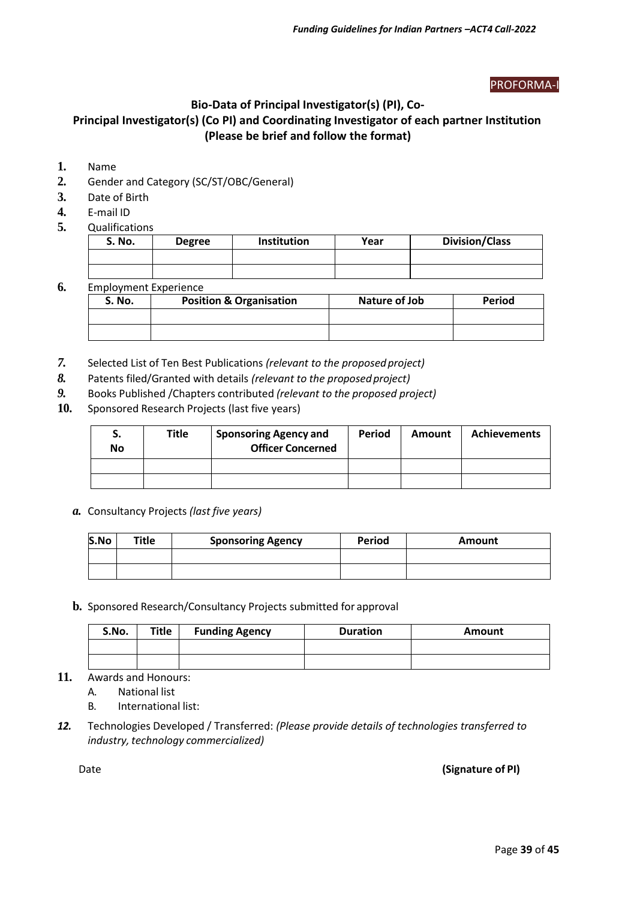#### PROFORMA-I

#### **Bio-Data of Principal Investigator(s) (PI), Co-**

## **Principal Investigator(s) (Co PI) and Coordinating Investigator of each partner Institution (Please be brief and follow the format)**

- **1.** Name
- **2.** Gender and Category (SC/ST/OBC/General)
- **3.** Date of Birth
- **4.** E-mail ID
- **5.** Qualifications

| <b>S. No.</b> | <b>Degree</b> | Institution | Year | <b>Division/Class</b> |
|---------------|---------------|-------------|------|-----------------------|
|               |               |             |      |                       |
|               |               |             |      |                       |

#### **6.** Employment Experience

| S. No. | <b>Position &amp; Organisation</b> | Nature of Job | Period |
|--------|------------------------------------|---------------|--------|
|        |                                    |               |        |
|        |                                    |               |        |

- *7.* Selected List of Ten Best Publications *(relevant to the proposedproject)*
- *8.* Patents filed/Granted with details *(relevant to the proposedproject)*
- *9.* Books Published /Chapters contributed *(relevant to the proposed project)*
- **10.** Sponsored Research Projects (last five years)

| э.<br>No | Title | <b>Sponsoring Agency and</b><br><b>Officer Concerned</b> | Period | <b>Amount</b> | <b>Achievements</b> |
|----------|-------|----------------------------------------------------------|--------|---------------|---------------------|
|          |       |                                                          |        |               |                     |
|          |       |                                                          |        |               |                     |

*a.* Consultancy Projects *(last five years)*

| S.No | Title | <b>Sponsoring Agency</b> | <b>Period</b> | Amount |
|------|-------|--------------------------|---------------|--------|
|      |       |                          |               |        |
|      |       |                          |               |        |

**b.** Sponsored Research/Consultancy Projects submitted for approval

| S.No. | Title | <b>Funding Agency</b> | <b>Duration</b> | Amount |
|-------|-------|-----------------------|-----------------|--------|
|       |       |                       |                 |        |
|       |       |                       |                 |        |

**11.** Awards and Honours:

A. National list

B. International list:

*12.* Technologies Developed / Transferred: *(Please provide details of technologies transferred to industry, technology commercialized)*

Date **(Signature of PI)**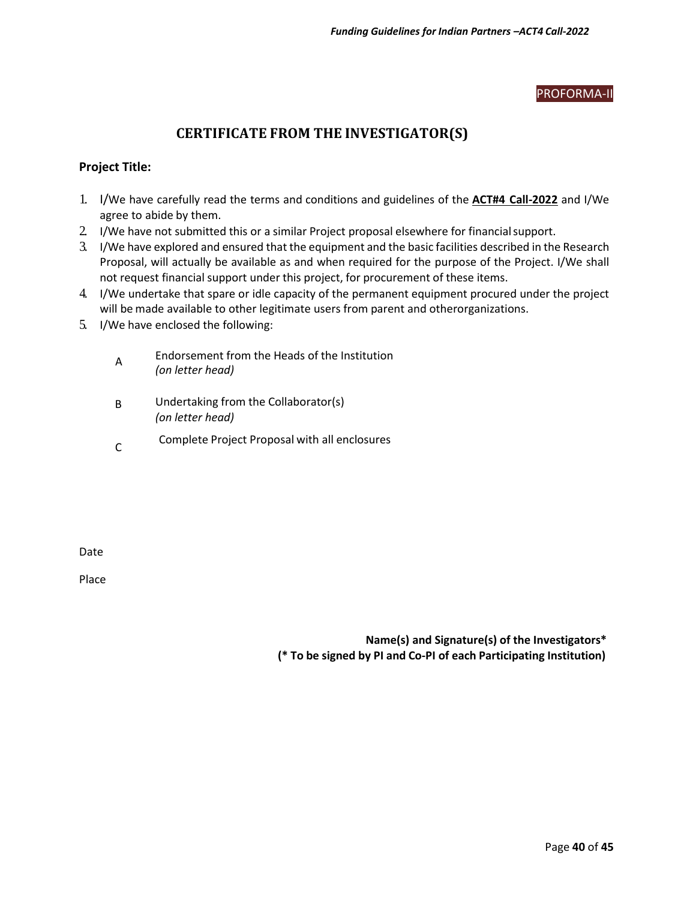#### PROFORMA-II

### **CERTIFICATE FROM THE INVESTIGATOR(S)**

#### **Project Title:**

- 1. I/We have carefully read the terms and conditions and guidelines of the **ACT#4 Call-2022** and I/We agree to abide by them.
- 2. I/We have not submitted this or a similar Project proposal elsewhere for financial support.
- 3. I/We have explored and ensured that the equipment and the basic facilities described in the Research Proposal, will actually be available as and when required for the purpose of the Project. I/We shall not request financial support under this project, for procurement of these items.
- 4. I/We undertake that spare or idle capacity of the permanent equipment procured under the project will be made available to other legitimate users from parent and otherorganizations.
- 5. I/We have enclosed the following:
	- A Endorsement from the Heads of the Institution *(on letter head)*
	- B Undertaking from the Collaborator(s) *(on letter head)*
	- $\mathsf{C}$ Complete Project Proposal with all enclosures

Date

Place

**Name(s) and Signature(s) of the Investigators\* (\* To be signed by PI and Co-PI of each Participating Institution)**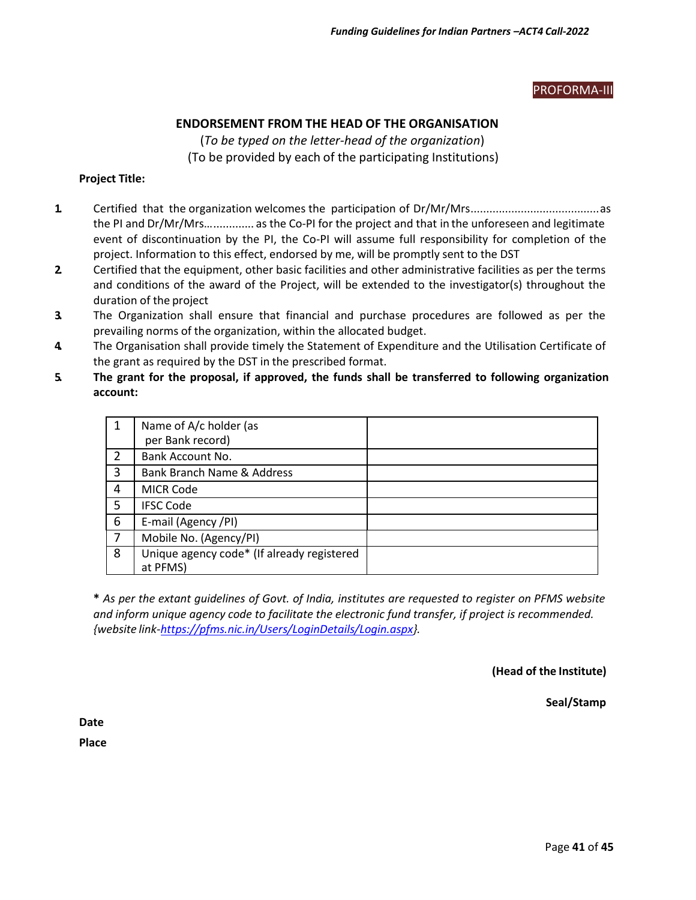#### PROFORMA-III

#### **ENDORSEMENT FROM THE HEAD OF THE ORGANISATION**

(*To be typed on the letter-head of the organization*) (To be provided by each of the participating Institutions)

#### **Project Title:**

- **1.** Certified that the organization welcomes the participation of Dr/Mr/Mrs.........................................as the PI and Dr/Mr/Mrs…............. as the Co-PI for the project and that in the unforeseen and legitimate event of discontinuation by the PI, the Co-PI will assume full responsibility for completion of the project. Information to this effect, endorsed by me, will be promptly sent to the DST
- **2.** Certified that the equipment, other basic facilities and other administrative facilities as per the terms and conditions of the award of the Project, will be extended to the investigator(s) throughout the duration of the project
- **3.** The Organization shall ensure that financial and purchase procedures are followed as per the prevailing norms of the organization, within the allocated budget.
- **4.** The Organisation shall provide timely the Statement of Expenditure and the Utilisation Certificate of the grant as required by the DST in the prescribed format.
- **5. The grant for the proposal, if approved, the funds shall be transferred to following organization account:**

|   | Name of A/c holder (as<br>per Bank record)             |  |
|---|--------------------------------------------------------|--|
| 2 | Bank Account No.                                       |  |
| 3 | Bank Branch Name & Address                             |  |
| 4 | <b>MICR Code</b>                                       |  |
| 5 | <b>IFSC Code</b>                                       |  |
| 6 | E-mail (Agency /PI)                                    |  |
| 7 | Mobile No. (Agency/PI)                                 |  |
| 8 | Unique agency code* (If already registered<br>at PFMS) |  |

\* As per the extant quidelines of Govt. of India, institutes are requested to register on PFMS website *and inform unique agency code to facilitate the electronic fund transfer, if project is recommended. {website link[-https://pfms.nic.in/Users/LoginDetails/Login.aspx}](https://pfms.nic.in/Users/LoginDetails/Login.aspx).*

**(Head of the Institute)**

**Seal/Stamp**

**Date**

**Place**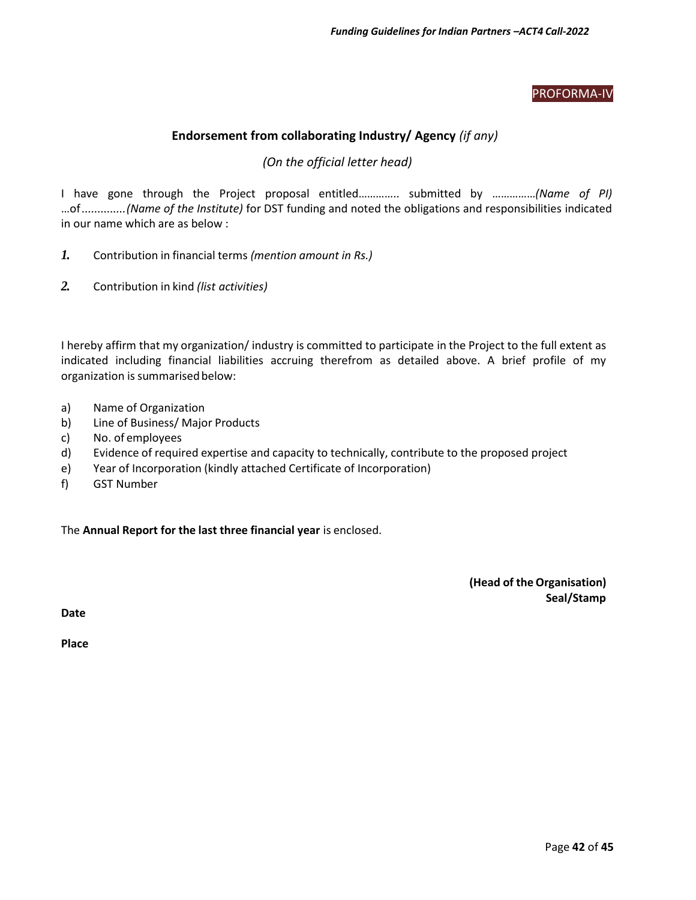#### PROFORMA-IV

#### **Endorsement from collaborating Industry/ Agency** *(if any)*

#### *(On the official letter head)*

I have gone through the Project proposal entitled………….. submitted by ……………*(Name of PI)* …of..............*(Name of the Institute)* for DST funding and noted the obligations and responsibilities indicated in our name which are as below :

- *1.* Contribution in financial terms *(mention amount in Rs.)*
- *2.* Contribution in kind *(list activities)*

I hereby affirm that my organization/ industry is committed to participate in the Project to the full extent as indicated including financial liabilities accruing therefrom as detailed above. A brief profile of my organization is summarised below:

- a) Name of Organization
- b) Line of Business/ Major Products
- c) No. of employees
- d) Evidence of required expertise and capacity to technically, contribute to the proposed project
- e) Year of Incorporation (kindly attached Certificate of Incorporation)
- f) GST Number

The **Annual Report for the last three financial year** is enclosed.

**(Head of the Organisation) Seal/Stamp**

**Date**

**Place**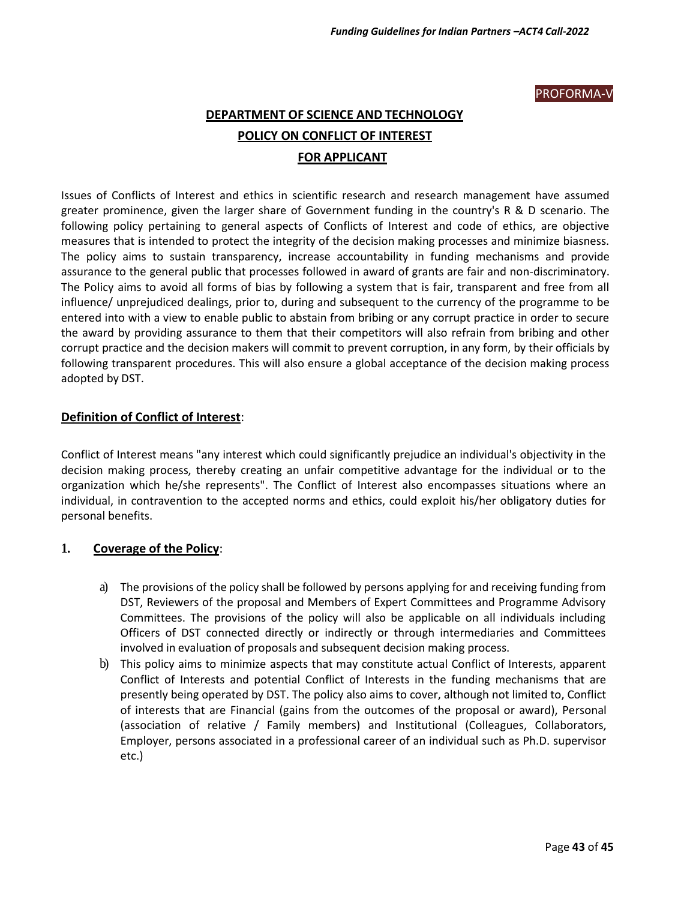#### PROFORMA-V

## **DEPARTMENT OF SCIENCE AND TECHNOLOGY POLICY ON CONFLICT OF INTEREST FOR APPLICANT**

Issues of Conflicts of Interest and ethics in scientific research and research management have assumed greater prominence, given the larger share of Government funding in the country's R & D scenario. The following policy pertaining to general aspects of Conflicts of Interest and code of ethics, are objective measures that is intended to protect the integrity of the decision making processes and minimize biasness. The policy aims to sustain transparency, increase accountability in funding mechanisms and provide assurance to the general public that processes followed in award of grants are fair and non-discriminatory. The Policy aims to avoid all forms of bias by following a system that is fair, transparent and free from all influence/ unprejudiced dealings, prior to, during and subsequent to the currency of the programme to be entered into with a view to enable public to abstain from bribing or any corrupt practice in order to secure the award by providing assurance to them that their competitors will also refrain from bribing and other corrupt practice and the decision makers will commit to prevent corruption, in any form, by their officials by following transparent procedures. This will also ensure a global acceptance of the decision making process adopted by DST.

#### **Definition of Conflict of Interest**:

Conflict of Interest means "any interest which could significantly prejudice an individual's objectivity in the decision making process, thereby creating an unfair competitive advantage for the individual or to the organization which he/she represents". The Conflict of Interest also encompasses situations where an individual, in contravention to the accepted norms and ethics, could exploit his/her obligatory duties for personal benefits.

#### **1. Coverage of the Policy**:

- a) The provisions of the policy shall be followed by persons applying for and receiving funding from DST, Reviewers of the proposal and Members of Expert Committees and Programme Advisory Committees. The provisions of the policy will also be applicable on all individuals including Officers of DST connected directly or indirectly or through intermediaries and Committees involved in evaluation of proposals and subsequent decision making process.
- b) This policy aims to minimize aspects that may constitute actual Conflict of Interests, apparent Conflict of Interests and potential Conflict of Interests in the funding mechanisms that are presently being operated by DST. The policy also aims to cover, although not limited to, Conflict of interests that are Financial (gains from the outcomes of the proposal or award), Personal (association of relative / Family members) and Institutional (Colleagues, Collaborators, Employer, persons associated in a professional career of an individual such as Ph.D. supervisor etc.)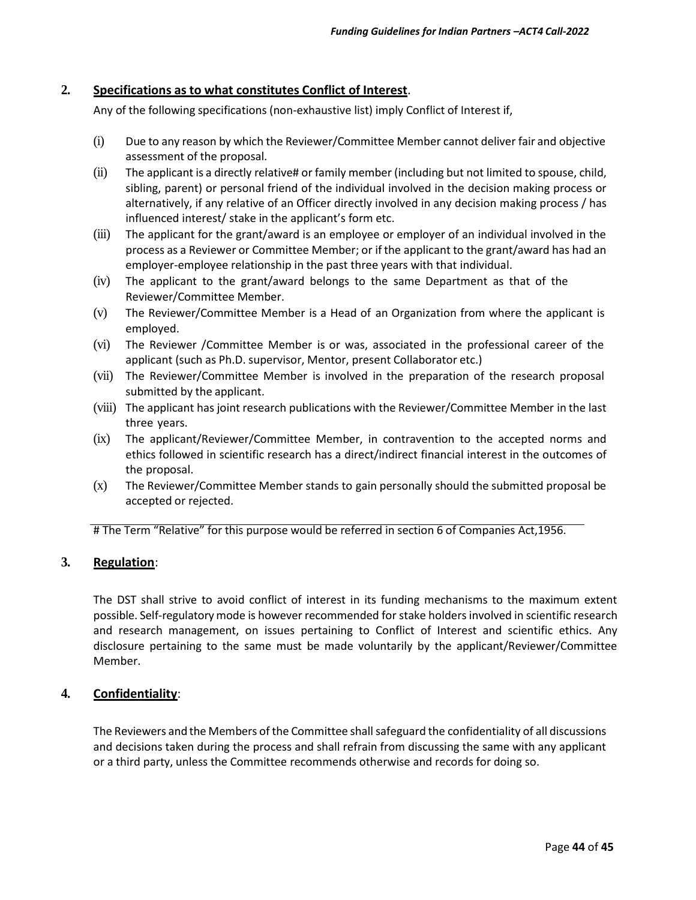#### **2. Specifications as to what constitutes Conflict of Interest**.

Any of the following specifications (non-exhaustive list) imply Conflict of Interest if,

- (i) Due to any reason by which the Reviewer/Committee Member cannot deliver fair and objective assessment of the proposal.
- (ii) The applicant is a directly relative# or family member (including but not limited to spouse, child, sibling, parent) or personal friend of the individual involved in the decision making process or alternatively, if any relative of an Officer directly involved in any decision making process / has influenced interest/ stake in the applicant's form etc.
- (iii) The applicant for the grant/award is an employee or employer of an individual involved in the process as a Reviewer or Committee Member; or if the applicant to the grant/award has had an employer-employee relationship in the past three years with that individual.
- (iv) The applicant to the grant/award belongs to the same Department as that of the Reviewer/Committee Member.
- (v) The Reviewer/Committee Member is a Head of an Organization from where the applicant is employed.
- (vi) The Reviewer /Committee Member is or was, associated in the professional career of the applicant (such as Ph.D. supervisor, Mentor, present Collaborator etc.)
- (vii) The Reviewer/Committee Member is involved in the preparation of the research proposal submitted by the applicant.
- (viii) The applicant has joint research publications with the Reviewer/Committee Member in the last three years.
- (ix) The applicant/Reviewer/Committee Member, in contravention to the accepted norms and ethics followed in scientific research has a direct/indirect financial interest in the outcomes of the proposal.
- (x) The Reviewer/Committee Member stands to gain personally should the submitted proposal be accepted or rejected.

# The Term "Relative" for this purpose would be referred in section 6 of Companies Act,1956.

#### **3. Regulation**:

The DST shall strive to avoid conflict of interest in its funding mechanisms to the maximum extent possible. Self-regulatory mode is however recommended for stake holdersinvolved in scientific research and research management, on issues pertaining to Conflict of Interest and scientific ethics. Any disclosure pertaining to the same must be made voluntarily by the applicant/Reviewer/Committee Member.

#### **4. Confidentiality**:

The Reviewers and the Members of the Committee shall safeguard the confidentiality of all discussions and decisions taken during the process and shall refrain from discussing the same with any applicant or a third party, unless the Committee recommends otherwise and records for doing so.